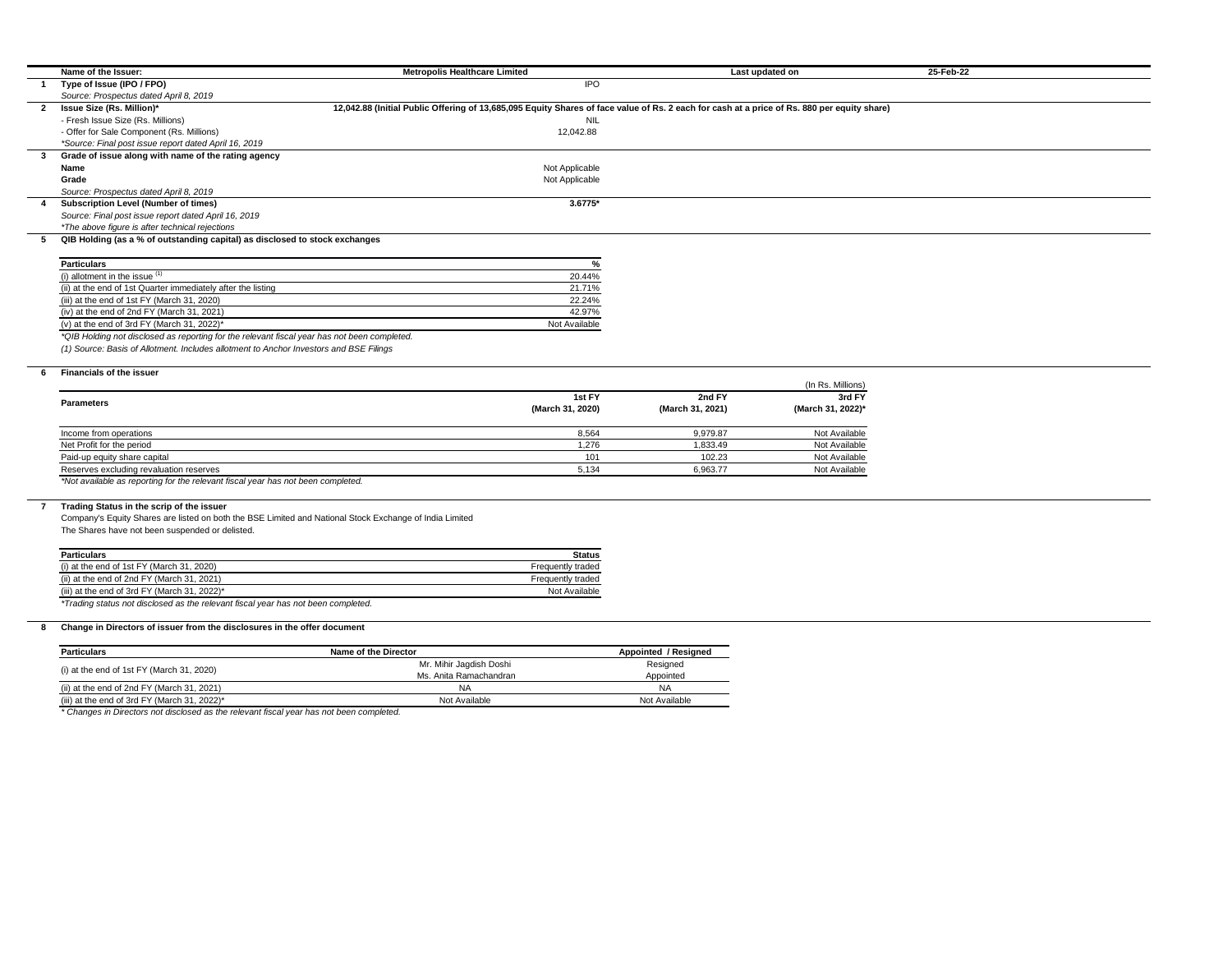|              | Name of the Issuer:                                                                          | <b>Metropolis Healthcare Limited</b>                                                                                                        |                  | Last updated on   | 25-Feb-22 |
|--------------|----------------------------------------------------------------------------------------------|---------------------------------------------------------------------------------------------------------------------------------------------|------------------|-------------------|-----------|
|              | Type of Issue (IPO / FPO)                                                                    | <b>IPO</b>                                                                                                                                  |                  |                   |           |
|              | Source: Prospectus dated April 8, 2019                                                       |                                                                                                                                             |                  |                   |           |
| $\mathbf{2}$ | Issue Size (Rs. Million)*                                                                    | 12,042.88 (Initial Public Offering of 13,685,095 Equity Shares of face value of Rs. 2 each for cash at a price of Rs. 880 per equity share) |                  |                   |           |
|              | - Fresh Issue Size (Rs. Millions)                                                            | <b>NIL</b>                                                                                                                                  |                  |                   |           |
|              | - Offer for Sale Component (Rs. Millions)                                                    | 12,042.88                                                                                                                                   |                  |                   |           |
|              | *Source: Final post issue report dated April 16, 2019                                        |                                                                                                                                             |                  |                   |           |
|              | Grade of issue along with name of the rating agency                                          |                                                                                                                                             |                  |                   |           |
|              | <b>Name</b>                                                                                  | Not Applicable                                                                                                                              |                  |                   |           |
|              | Grade                                                                                        | Not Applicable                                                                                                                              |                  |                   |           |
|              | Source: Prospectus dated April 8, 2019                                                       |                                                                                                                                             |                  |                   |           |
|              | <b>Subscription Level (Number of times)</b>                                                  | 3.6775*                                                                                                                                     |                  |                   |           |
|              | Source: Final post issue report dated April 16, 2019                                         |                                                                                                                                             |                  |                   |           |
|              | *The above figure is after technical rejections                                              |                                                                                                                                             |                  |                   |           |
|              | QIB Holding (as a % of outstanding capital) as disclosed to stock exchanges                  |                                                                                                                                             |                  |                   |           |
|              |                                                                                              |                                                                                                                                             |                  |                   |           |
|              | <b>Particulars</b>                                                                           | 0/                                                                                                                                          |                  |                   |           |
|              | (i) allotment in the issue $(1)$                                                             | 20.44%                                                                                                                                      |                  |                   |           |
|              | (ii) at the end of 1st Quarter immediately after the listing                                 | 21.71%                                                                                                                                      |                  |                   |           |
|              | (iii) at the end of 1st FY (March 31, 2020)                                                  | 22.24%                                                                                                                                      |                  |                   |           |
|              | (iv) at the end of 2nd FY (March 31, 2021)                                                   | 42.97%                                                                                                                                      |                  |                   |           |
|              | (v) at the end of 3rd FY (March 31, 2022)*                                                   | Not Available                                                                                                                               |                  |                   |           |
|              | *QIB Holding not disclosed as reporting for the relevant fiscal year has not been completed. |                                                                                                                                             |                  |                   |           |
|              | (1) Source: Basis of Allotment. Includes allotment to Anchor Investors and BSE Filings       |                                                                                                                                             |                  |                   |           |
|              |                                                                                              |                                                                                                                                             |                  |                   |           |
|              | <b>Financials of the issuer</b>                                                              |                                                                                                                                             |                  |                   |           |
|              |                                                                                              |                                                                                                                                             |                  | (In Rs. Millions) |           |
|              |                                                                                              | 1st FY                                                                                                                                      | 2nd FY           | 3rd FY            |           |
|              | <b>Parameters</b>                                                                            | (March 31, 2020)                                                                                                                            | (March 31, 2021) | (March 31, 2022)* |           |

| Income from operations                  | 8.564 | 9.979.87 | Not Available |
|-----------------------------------------|-------|----------|---------------|
| Net Profit for the period               | 1.276 | 1.833.49 | Not Available |
| Paid-up equity share capital            | 101   | 102.23   | Not Available |
| Reserves excluding revaluation reserves | 5.134 | 6,963.77 | Not Available |
|                                         |       |          |               |

*\*Not available as reporting for the relevant fiscal year has not been completed.*

## **7 Trading Status in the scrip of the issuer**

Company's Equity Shares are listed on both the BSE Limited and National Stock Exchange of India Limited

The Shares have not been suspended or delisted.

| <b>Particulars</b>                                                                | <b>Status</b>     |
|-----------------------------------------------------------------------------------|-------------------|
| (i) at the end of 1st $FY$ (March 31, 2020)                                       | Frequently traded |
| (ii) at the end of 2nd FY (March 31, 2021)                                        | Frequently traded |
| (iii) at the end of 3rd FY (March 31, 2022) $*$                                   | Not Available     |
| *Trading status not disclosed as the relevant fiscal year has not been completed. |                   |

## **8 Change in Directors of issuer from the disclosures in the offer document**

| <b>Particulars</b>                           | Name of the Director    | Appointed / Resigned |  |
|----------------------------------------------|-------------------------|----------------------|--|
|                                              | Mr. Mihir Jagdish Doshi | Resigned             |  |
| (i) at the end of 1st $FY$ (March 31, 2020)  | Ms. Anita Ramachandran  | Appointed            |  |
| (ii) at the end of 2nd FY (March 31, 2021)   | NA                      | NA                   |  |
| (iii) at the end of 3rd FY (March 31, 2022)* | Not Available           | Not Available        |  |

*\* Changes in Directors not disclosed as the relevant fiscal year has not been completed.*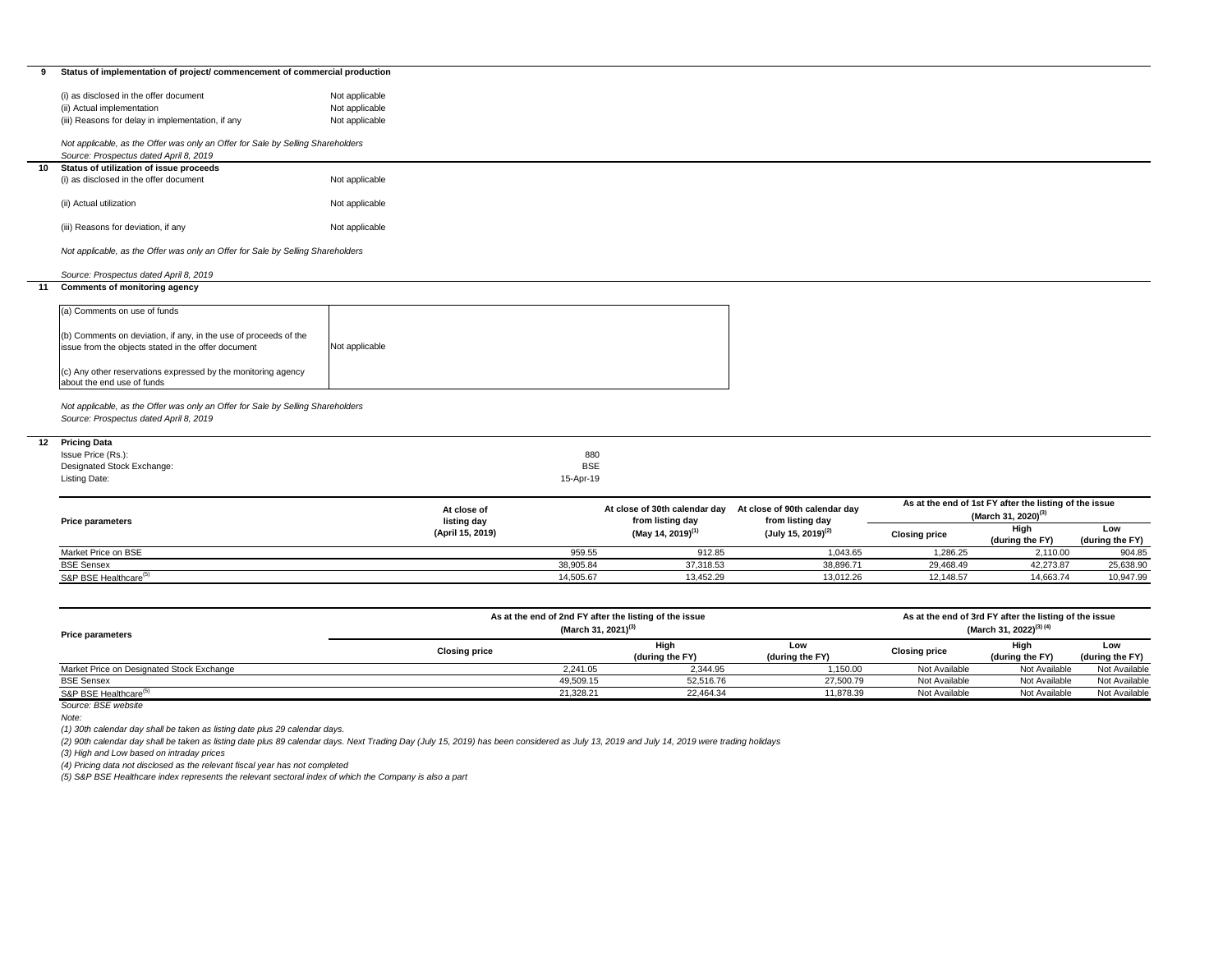| Status of implementation of project/ commencement of commercial production<br>(i) as disclosed in the offer document<br>Not applicable<br>Not applicable<br>(ii) Actual implementation<br>Not applicable<br>(iii) Reasons for delay in implementation, if any<br>Not applicable, as the Offer was only an Offer for Sale by Selling Shareholders<br>Source: Prospectus dated April 8, 2019<br>Status of utilization of issue proceeds<br>10<br>(i) as disclosed in the offer document<br>Not applicable<br>(ii) Actual utilization<br>Not applicable<br>(iii) Reasons for deviation, if any<br>Not applicable<br>Not applicable, as the Offer was only an Offer for Sale by Selling Shareholders<br>Source: Prospectus dated April 8, 2019<br><b>Comments of monitoring agency</b><br>11<br>(a) Comments on use of funds<br>(b) Comments on deviation, if any, in the use of proceeds of the<br>issue from the objects stated in the offer document<br>Not applicable<br>(c) Any other reservations expressed by the monitoring agency<br>about the end use of funds<br>Not applicable, as the Offer was only an Offer for Sale by Selling Shareholders<br>Source: Prospectus dated April 8, 2019<br><b>Pricing Data</b><br>Issue Price (Rs.):<br>880<br><b>BSE</b><br>Designated Stock Exchange:<br>Listing Date:<br>15-Apr-19<br>As at the end of 1st FY after the listing of the issue<br>At close of 30th calendar day<br>At close of 90th calendar day<br>At close of<br>(March 31, 2020) <sup>(3)</sup><br>from listing day<br>from listing day<br>listing day<br><b>Price parameters</b><br>High<br>Low<br>(May 14, 2019) <sup>(1)</sup><br>$(July 15, 2019)^{(2)}$<br>(April 15, 2019)<br><b>Closing price</b><br>(during the FY)<br>(during the FY)<br>Market Price on BSE<br>959.55<br>912.85<br>1,043.65<br>1,286.25<br>2,110.00<br>904.85<br><b>BSE Sensex</b><br>38,905.84<br>38,896.71<br>37,318.53<br>29,468.49<br>42,273.87<br>25,638.90<br>S&P BSE Healthcare <sup>(5)</sup><br>14,505.67<br>13,452.29<br>13,012.26<br>12,148.57<br>14,663.74<br>10,947.99<br>As at the end of 3rd FY after the listing of the issue<br>As at the end of 2nd FY after the listing of the issue<br>(March 31, 2022) <sup>(3) (4)</sup><br>(March 31, 2021) <sup>(3)</sup><br><b>Price parameters</b><br><b>High</b><br>Low<br>High<br>Low<br><b>Closing price</b><br><b>Closing price</b><br>(during the FY)<br>(during the FY)<br>(during the FY)<br>(during the FY)<br>Market Price on Designated Stock Exchange<br>2,241.05<br>2,344.95<br>Not Available<br>Not Available<br>1,150.00<br>Not Available<br>49,509.15<br>52,516.76<br>27,500.79<br><b>BSE Sensex</b><br>Not Available<br>Not Available<br>Not Available<br>S&P BSE Healthcare <sup>(5)</sup><br>21,328.21<br>22,464.34<br>11,878.39<br>Not Available<br>Not Available<br>Not Available<br>Source: BSE website<br>Note:<br>(1) 30th calendar day shall be taken as listing date plus 29 calendar days.<br>(2) 90th calendar day shall be taken as listing date plus 89 calendar days. Next Trading Day (July 15, 2019) has been considered as July 13, 2019 and July 14, 2019 were trading holidays<br>(3) High and Low based on intraday prices<br>(4) Pricing data not disclosed as the relevant fiscal year has not completed |    |  |  |  |  |  |  |  |  |
|--------------------------------------------------------------------------------------------------------------------------------------------------------------------------------------------------------------------------------------------------------------------------------------------------------------------------------------------------------------------------------------------------------------------------------------------------------------------------------------------------------------------------------------------------------------------------------------------------------------------------------------------------------------------------------------------------------------------------------------------------------------------------------------------------------------------------------------------------------------------------------------------------------------------------------------------------------------------------------------------------------------------------------------------------------------------------------------------------------------------------------------------------------------------------------------------------------------------------------------------------------------------------------------------------------------------------------------------------------------------------------------------------------------------------------------------------------------------------------------------------------------------------------------------------------------------------------------------------------------------------------------------------------------------------------------------------------------------------------------------------------------------------------------------------------------------------------------------------------------------------------------------------------------------------------------------------------------------------------------------------------------------------------------------------------------------------------------------------------------------------------------------------------------------------------------------------------------------------------------------------------------------------------------------------------------------------------------------------------------------------------------------------------------------------------------------------------------------------------------------------------------------------------------------------------------------------------------------------------------------------------------------------------------------------------------------------------------------------------------------------------------------------------------------------------------------------------------------------------------------------------------------------------------------------------------------------------------------------------------------------------------------------------------------------------------------------------------------------------------------------------------------------------------------------------------------------------------------------------------------------------------------------------------------------|----|--|--|--|--|--|--|--|--|
|                                                                                                                                                                                                                                                                                                                                                                                                                                                                                                                                                                                                                                                                                                                                                                                                                                                                                                                                                                                                                                                                                                                                                                                                                                                                                                                                                                                                                                                                                                                                                                                                                                                                                                                                                                                                                                                                                                                                                                                                                                                                                                                                                                                                                                                                                                                                                                                                                                                                                                                                                                                                                                                                                                                                                                                                                                                                                                                                                                                                                                                                                                                                                                                                                                                                                                  | 9  |  |  |  |  |  |  |  |  |
|                                                                                                                                                                                                                                                                                                                                                                                                                                                                                                                                                                                                                                                                                                                                                                                                                                                                                                                                                                                                                                                                                                                                                                                                                                                                                                                                                                                                                                                                                                                                                                                                                                                                                                                                                                                                                                                                                                                                                                                                                                                                                                                                                                                                                                                                                                                                                                                                                                                                                                                                                                                                                                                                                                                                                                                                                                                                                                                                                                                                                                                                                                                                                                                                                                                                                                  |    |  |  |  |  |  |  |  |  |
|                                                                                                                                                                                                                                                                                                                                                                                                                                                                                                                                                                                                                                                                                                                                                                                                                                                                                                                                                                                                                                                                                                                                                                                                                                                                                                                                                                                                                                                                                                                                                                                                                                                                                                                                                                                                                                                                                                                                                                                                                                                                                                                                                                                                                                                                                                                                                                                                                                                                                                                                                                                                                                                                                                                                                                                                                                                                                                                                                                                                                                                                                                                                                                                                                                                                                                  |    |  |  |  |  |  |  |  |  |
|                                                                                                                                                                                                                                                                                                                                                                                                                                                                                                                                                                                                                                                                                                                                                                                                                                                                                                                                                                                                                                                                                                                                                                                                                                                                                                                                                                                                                                                                                                                                                                                                                                                                                                                                                                                                                                                                                                                                                                                                                                                                                                                                                                                                                                                                                                                                                                                                                                                                                                                                                                                                                                                                                                                                                                                                                                                                                                                                                                                                                                                                                                                                                                                                                                                                                                  |    |  |  |  |  |  |  |  |  |
|                                                                                                                                                                                                                                                                                                                                                                                                                                                                                                                                                                                                                                                                                                                                                                                                                                                                                                                                                                                                                                                                                                                                                                                                                                                                                                                                                                                                                                                                                                                                                                                                                                                                                                                                                                                                                                                                                                                                                                                                                                                                                                                                                                                                                                                                                                                                                                                                                                                                                                                                                                                                                                                                                                                                                                                                                                                                                                                                                                                                                                                                                                                                                                                                                                                                                                  |    |  |  |  |  |  |  |  |  |
|                                                                                                                                                                                                                                                                                                                                                                                                                                                                                                                                                                                                                                                                                                                                                                                                                                                                                                                                                                                                                                                                                                                                                                                                                                                                                                                                                                                                                                                                                                                                                                                                                                                                                                                                                                                                                                                                                                                                                                                                                                                                                                                                                                                                                                                                                                                                                                                                                                                                                                                                                                                                                                                                                                                                                                                                                                                                                                                                                                                                                                                                                                                                                                                                                                                                                                  |    |  |  |  |  |  |  |  |  |
|                                                                                                                                                                                                                                                                                                                                                                                                                                                                                                                                                                                                                                                                                                                                                                                                                                                                                                                                                                                                                                                                                                                                                                                                                                                                                                                                                                                                                                                                                                                                                                                                                                                                                                                                                                                                                                                                                                                                                                                                                                                                                                                                                                                                                                                                                                                                                                                                                                                                                                                                                                                                                                                                                                                                                                                                                                                                                                                                                                                                                                                                                                                                                                                                                                                                                                  |    |  |  |  |  |  |  |  |  |
|                                                                                                                                                                                                                                                                                                                                                                                                                                                                                                                                                                                                                                                                                                                                                                                                                                                                                                                                                                                                                                                                                                                                                                                                                                                                                                                                                                                                                                                                                                                                                                                                                                                                                                                                                                                                                                                                                                                                                                                                                                                                                                                                                                                                                                                                                                                                                                                                                                                                                                                                                                                                                                                                                                                                                                                                                                                                                                                                                                                                                                                                                                                                                                                                                                                                                                  |    |  |  |  |  |  |  |  |  |
|                                                                                                                                                                                                                                                                                                                                                                                                                                                                                                                                                                                                                                                                                                                                                                                                                                                                                                                                                                                                                                                                                                                                                                                                                                                                                                                                                                                                                                                                                                                                                                                                                                                                                                                                                                                                                                                                                                                                                                                                                                                                                                                                                                                                                                                                                                                                                                                                                                                                                                                                                                                                                                                                                                                                                                                                                                                                                                                                                                                                                                                                                                                                                                                                                                                                                                  |    |  |  |  |  |  |  |  |  |
|                                                                                                                                                                                                                                                                                                                                                                                                                                                                                                                                                                                                                                                                                                                                                                                                                                                                                                                                                                                                                                                                                                                                                                                                                                                                                                                                                                                                                                                                                                                                                                                                                                                                                                                                                                                                                                                                                                                                                                                                                                                                                                                                                                                                                                                                                                                                                                                                                                                                                                                                                                                                                                                                                                                                                                                                                                                                                                                                                                                                                                                                                                                                                                                                                                                                                                  |    |  |  |  |  |  |  |  |  |
|                                                                                                                                                                                                                                                                                                                                                                                                                                                                                                                                                                                                                                                                                                                                                                                                                                                                                                                                                                                                                                                                                                                                                                                                                                                                                                                                                                                                                                                                                                                                                                                                                                                                                                                                                                                                                                                                                                                                                                                                                                                                                                                                                                                                                                                                                                                                                                                                                                                                                                                                                                                                                                                                                                                                                                                                                                                                                                                                                                                                                                                                                                                                                                                                                                                                                                  |    |  |  |  |  |  |  |  |  |
|                                                                                                                                                                                                                                                                                                                                                                                                                                                                                                                                                                                                                                                                                                                                                                                                                                                                                                                                                                                                                                                                                                                                                                                                                                                                                                                                                                                                                                                                                                                                                                                                                                                                                                                                                                                                                                                                                                                                                                                                                                                                                                                                                                                                                                                                                                                                                                                                                                                                                                                                                                                                                                                                                                                                                                                                                                                                                                                                                                                                                                                                                                                                                                                                                                                                                                  |    |  |  |  |  |  |  |  |  |
|                                                                                                                                                                                                                                                                                                                                                                                                                                                                                                                                                                                                                                                                                                                                                                                                                                                                                                                                                                                                                                                                                                                                                                                                                                                                                                                                                                                                                                                                                                                                                                                                                                                                                                                                                                                                                                                                                                                                                                                                                                                                                                                                                                                                                                                                                                                                                                                                                                                                                                                                                                                                                                                                                                                                                                                                                                                                                                                                                                                                                                                                                                                                                                                                                                                                                                  |    |  |  |  |  |  |  |  |  |
|                                                                                                                                                                                                                                                                                                                                                                                                                                                                                                                                                                                                                                                                                                                                                                                                                                                                                                                                                                                                                                                                                                                                                                                                                                                                                                                                                                                                                                                                                                                                                                                                                                                                                                                                                                                                                                                                                                                                                                                                                                                                                                                                                                                                                                                                                                                                                                                                                                                                                                                                                                                                                                                                                                                                                                                                                                                                                                                                                                                                                                                                                                                                                                                                                                                                                                  |    |  |  |  |  |  |  |  |  |
|                                                                                                                                                                                                                                                                                                                                                                                                                                                                                                                                                                                                                                                                                                                                                                                                                                                                                                                                                                                                                                                                                                                                                                                                                                                                                                                                                                                                                                                                                                                                                                                                                                                                                                                                                                                                                                                                                                                                                                                                                                                                                                                                                                                                                                                                                                                                                                                                                                                                                                                                                                                                                                                                                                                                                                                                                                                                                                                                                                                                                                                                                                                                                                                                                                                                                                  |    |  |  |  |  |  |  |  |  |
|                                                                                                                                                                                                                                                                                                                                                                                                                                                                                                                                                                                                                                                                                                                                                                                                                                                                                                                                                                                                                                                                                                                                                                                                                                                                                                                                                                                                                                                                                                                                                                                                                                                                                                                                                                                                                                                                                                                                                                                                                                                                                                                                                                                                                                                                                                                                                                                                                                                                                                                                                                                                                                                                                                                                                                                                                                                                                                                                                                                                                                                                                                                                                                                                                                                                                                  |    |  |  |  |  |  |  |  |  |
|                                                                                                                                                                                                                                                                                                                                                                                                                                                                                                                                                                                                                                                                                                                                                                                                                                                                                                                                                                                                                                                                                                                                                                                                                                                                                                                                                                                                                                                                                                                                                                                                                                                                                                                                                                                                                                                                                                                                                                                                                                                                                                                                                                                                                                                                                                                                                                                                                                                                                                                                                                                                                                                                                                                                                                                                                                                                                                                                                                                                                                                                                                                                                                                                                                                                                                  |    |  |  |  |  |  |  |  |  |
|                                                                                                                                                                                                                                                                                                                                                                                                                                                                                                                                                                                                                                                                                                                                                                                                                                                                                                                                                                                                                                                                                                                                                                                                                                                                                                                                                                                                                                                                                                                                                                                                                                                                                                                                                                                                                                                                                                                                                                                                                                                                                                                                                                                                                                                                                                                                                                                                                                                                                                                                                                                                                                                                                                                                                                                                                                                                                                                                                                                                                                                                                                                                                                                                                                                                                                  |    |  |  |  |  |  |  |  |  |
|                                                                                                                                                                                                                                                                                                                                                                                                                                                                                                                                                                                                                                                                                                                                                                                                                                                                                                                                                                                                                                                                                                                                                                                                                                                                                                                                                                                                                                                                                                                                                                                                                                                                                                                                                                                                                                                                                                                                                                                                                                                                                                                                                                                                                                                                                                                                                                                                                                                                                                                                                                                                                                                                                                                                                                                                                                                                                                                                                                                                                                                                                                                                                                                                                                                                                                  |    |  |  |  |  |  |  |  |  |
|                                                                                                                                                                                                                                                                                                                                                                                                                                                                                                                                                                                                                                                                                                                                                                                                                                                                                                                                                                                                                                                                                                                                                                                                                                                                                                                                                                                                                                                                                                                                                                                                                                                                                                                                                                                                                                                                                                                                                                                                                                                                                                                                                                                                                                                                                                                                                                                                                                                                                                                                                                                                                                                                                                                                                                                                                                                                                                                                                                                                                                                                                                                                                                                                                                                                                                  |    |  |  |  |  |  |  |  |  |
|                                                                                                                                                                                                                                                                                                                                                                                                                                                                                                                                                                                                                                                                                                                                                                                                                                                                                                                                                                                                                                                                                                                                                                                                                                                                                                                                                                                                                                                                                                                                                                                                                                                                                                                                                                                                                                                                                                                                                                                                                                                                                                                                                                                                                                                                                                                                                                                                                                                                                                                                                                                                                                                                                                                                                                                                                                                                                                                                                                                                                                                                                                                                                                                                                                                                                                  |    |  |  |  |  |  |  |  |  |
|                                                                                                                                                                                                                                                                                                                                                                                                                                                                                                                                                                                                                                                                                                                                                                                                                                                                                                                                                                                                                                                                                                                                                                                                                                                                                                                                                                                                                                                                                                                                                                                                                                                                                                                                                                                                                                                                                                                                                                                                                                                                                                                                                                                                                                                                                                                                                                                                                                                                                                                                                                                                                                                                                                                                                                                                                                                                                                                                                                                                                                                                                                                                                                                                                                                                                                  |    |  |  |  |  |  |  |  |  |
|                                                                                                                                                                                                                                                                                                                                                                                                                                                                                                                                                                                                                                                                                                                                                                                                                                                                                                                                                                                                                                                                                                                                                                                                                                                                                                                                                                                                                                                                                                                                                                                                                                                                                                                                                                                                                                                                                                                                                                                                                                                                                                                                                                                                                                                                                                                                                                                                                                                                                                                                                                                                                                                                                                                                                                                                                                                                                                                                                                                                                                                                                                                                                                                                                                                                                                  |    |  |  |  |  |  |  |  |  |
|                                                                                                                                                                                                                                                                                                                                                                                                                                                                                                                                                                                                                                                                                                                                                                                                                                                                                                                                                                                                                                                                                                                                                                                                                                                                                                                                                                                                                                                                                                                                                                                                                                                                                                                                                                                                                                                                                                                                                                                                                                                                                                                                                                                                                                                                                                                                                                                                                                                                                                                                                                                                                                                                                                                                                                                                                                                                                                                                                                                                                                                                                                                                                                                                                                                                                                  |    |  |  |  |  |  |  |  |  |
|                                                                                                                                                                                                                                                                                                                                                                                                                                                                                                                                                                                                                                                                                                                                                                                                                                                                                                                                                                                                                                                                                                                                                                                                                                                                                                                                                                                                                                                                                                                                                                                                                                                                                                                                                                                                                                                                                                                                                                                                                                                                                                                                                                                                                                                                                                                                                                                                                                                                                                                                                                                                                                                                                                                                                                                                                                                                                                                                                                                                                                                                                                                                                                                                                                                                                                  |    |  |  |  |  |  |  |  |  |
|                                                                                                                                                                                                                                                                                                                                                                                                                                                                                                                                                                                                                                                                                                                                                                                                                                                                                                                                                                                                                                                                                                                                                                                                                                                                                                                                                                                                                                                                                                                                                                                                                                                                                                                                                                                                                                                                                                                                                                                                                                                                                                                                                                                                                                                                                                                                                                                                                                                                                                                                                                                                                                                                                                                                                                                                                                                                                                                                                                                                                                                                                                                                                                                                                                                                                                  |    |  |  |  |  |  |  |  |  |
|                                                                                                                                                                                                                                                                                                                                                                                                                                                                                                                                                                                                                                                                                                                                                                                                                                                                                                                                                                                                                                                                                                                                                                                                                                                                                                                                                                                                                                                                                                                                                                                                                                                                                                                                                                                                                                                                                                                                                                                                                                                                                                                                                                                                                                                                                                                                                                                                                                                                                                                                                                                                                                                                                                                                                                                                                                                                                                                                                                                                                                                                                                                                                                                                                                                                                                  |    |  |  |  |  |  |  |  |  |
|                                                                                                                                                                                                                                                                                                                                                                                                                                                                                                                                                                                                                                                                                                                                                                                                                                                                                                                                                                                                                                                                                                                                                                                                                                                                                                                                                                                                                                                                                                                                                                                                                                                                                                                                                                                                                                                                                                                                                                                                                                                                                                                                                                                                                                                                                                                                                                                                                                                                                                                                                                                                                                                                                                                                                                                                                                                                                                                                                                                                                                                                                                                                                                                                                                                                                                  |    |  |  |  |  |  |  |  |  |
|                                                                                                                                                                                                                                                                                                                                                                                                                                                                                                                                                                                                                                                                                                                                                                                                                                                                                                                                                                                                                                                                                                                                                                                                                                                                                                                                                                                                                                                                                                                                                                                                                                                                                                                                                                                                                                                                                                                                                                                                                                                                                                                                                                                                                                                                                                                                                                                                                                                                                                                                                                                                                                                                                                                                                                                                                                                                                                                                                                                                                                                                                                                                                                                                                                                                                                  |    |  |  |  |  |  |  |  |  |
|                                                                                                                                                                                                                                                                                                                                                                                                                                                                                                                                                                                                                                                                                                                                                                                                                                                                                                                                                                                                                                                                                                                                                                                                                                                                                                                                                                                                                                                                                                                                                                                                                                                                                                                                                                                                                                                                                                                                                                                                                                                                                                                                                                                                                                                                                                                                                                                                                                                                                                                                                                                                                                                                                                                                                                                                                                                                                                                                                                                                                                                                                                                                                                                                                                                                                                  | 12 |  |  |  |  |  |  |  |  |
|                                                                                                                                                                                                                                                                                                                                                                                                                                                                                                                                                                                                                                                                                                                                                                                                                                                                                                                                                                                                                                                                                                                                                                                                                                                                                                                                                                                                                                                                                                                                                                                                                                                                                                                                                                                                                                                                                                                                                                                                                                                                                                                                                                                                                                                                                                                                                                                                                                                                                                                                                                                                                                                                                                                                                                                                                                                                                                                                                                                                                                                                                                                                                                                                                                                                                                  |    |  |  |  |  |  |  |  |  |
|                                                                                                                                                                                                                                                                                                                                                                                                                                                                                                                                                                                                                                                                                                                                                                                                                                                                                                                                                                                                                                                                                                                                                                                                                                                                                                                                                                                                                                                                                                                                                                                                                                                                                                                                                                                                                                                                                                                                                                                                                                                                                                                                                                                                                                                                                                                                                                                                                                                                                                                                                                                                                                                                                                                                                                                                                                                                                                                                                                                                                                                                                                                                                                                                                                                                                                  |    |  |  |  |  |  |  |  |  |
|                                                                                                                                                                                                                                                                                                                                                                                                                                                                                                                                                                                                                                                                                                                                                                                                                                                                                                                                                                                                                                                                                                                                                                                                                                                                                                                                                                                                                                                                                                                                                                                                                                                                                                                                                                                                                                                                                                                                                                                                                                                                                                                                                                                                                                                                                                                                                                                                                                                                                                                                                                                                                                                                                                                                                                                                                                                                                                                                                                                                                                                                                                                                                                                                                                                                                                  |    |  |  |  |  |  |  |  |  |
|                                                                                                                                                                                                                                                                                                                                                                                                                                                                                                                                                                                                                                                                                                                                                                                                                                                                                                                                                                                                                                                                                                                                                                                                                                                                                                                                                                                                                                                                                                                                                                                                                                                                                                                                                                                                                                                                                                                                                                                                                                                                                                                                                                                                                                                                                                                                                                                                                                                                                                                                                                                                                                                                                                                                                                                                                                                                                                                                                                                                                                                                                                                                                                                                                                                                                                  |    |  |  |  |  |  |  |  |  |
|                                                                                                                                                                                                                                                                                                                                                                                                                                                                                                                                                                                                                                                                                                                                                                                                                                                                                                                                                                                                                                                                                                                                                                                                                                                                                                                                                                                                                                                                                                                                                                                                                                                                                                                                                                                                                                                                                                                                                                                                                                                                                                                                                                                                                                                                                                                                                                                                                                                                                                                                                                                                                                                                                                                                                                                                                                                                                                                                                                                                                                                                                                                                                                                                                                                                                                  |    |  |  |  |  |  |  |  |  |
|                                                                                                                                                                                                                                                                                                                                                                                                                                                                                                                                                                                                                                                                                                                                                                                                                                                                                                                                                                                                                                                                                                                                                                                                                                                                                                                                                                                                                                                                                                                                                                                                                                                                                                                                                                                                                                                                                                                                                                                                                                                                                                                                                                                                                                                                                                                                                                                                                                                                                                                                                                                                                                                                                                                                                                                                                                                                                                                                                                                                                                                                                                                                                                                                                                                                                                  |    |  |  |  |  |  |  |  |  |
|                                                                                                                                                                                                                                                                                                                                                                                                                                                                                                                                                                                                                                                                                                                                                                                                                                                                                                                                                                                                                                                                                                                                                                                                                                                                                                                                                                                                                                                                                                                                                                                                                                                                                                                                                                                                                                                                                                                                                                                                                                                                                                                                                                                                                                                                                                                                                                                                                                                                                                                                                                                                                                                                                                                                                                                                                                                                                                                                                                                                                                                                                                                                                                                                                                                                                                  |    |  |  |  |  |  |  |  |  |
|                                                                                                                                                                                                                                                                                                                                                                                                                                                                                                                                                                                                                                                                                                                                                                                                                                                                                                                                                                                                                                                                                                                                                                                                                                                                                                                                                                                                                                                                                                                                                                                                                                                                                                                                                                                                                                                                                                                                                                                                                                                                                                                                                                                                                                                                                                                                                                                                                                                                                                                                                                                                                                                                                                                                                                                                                                                                                                                                                                                                                                                                                                                                                                                                                                                                                                  |    |  |  |  |  |  |  |  |  |
|                                                                                                                                                                                                                                                                                                                                                                                                                                                                                                                                                                                                                                                                                                                                                                                                                                                                                                                                                                                                                                                                                                                                                                                                                                                                                                                                                                                                                                                                                                                                                                                                                                                                                                                                                                                                                                                                                                                                                                                                                                                                                                                                                                                                                                                                                                                                                                                                                                                                                                                                                                                                                                                                                                                                                                                                                                                                                                                                                                                                                                                                                                                                                                                                                                                                                                  |    |  |  |  |  |  |  |  |  |
|                                                                                                                                                                                                                                                                                                                                                                                                                                                                                                                                                                                                                                                                                                                                                                                                                                                                                                                                                                                                                                                                                                                                                                                                                                                                                                                                                                                                                                                                                                                                                                                                                                                                                                                                                                                                                                                                                                                                                                                                                                                                                                                                                                                                                                                                                                                                                                                                                                                                                                                                                                                                                                                                                                                                                                                                                                                                                                                                                                                                                                                                                                                                                                                                                                                                                                  |    |  |  |  |  |  |  |  |  |
|                                                                                                                                                                                                                                                                                                                                                                                                                                                                                                                                                                                                                                                                                                                                                                                                                                                                                                                                                                                                                                                                                                                                                                                                                                                                                                                                                                                                                                                                                                                                                                                                                                                                                                                                                                                                                                                                                                                                                                                                                                                                                                                                                                                                                                                                                                                                                                                                                                                                                                                                                                                                                                                                                                                                                                                                                                                                                                                                                                                                                                                                                                                                                                                                                                                                                                  |    |  |  |  |  |  |  |  |  |
|                                                                                                                                                                                                                                                                                                                                                                                                                                                                                                                                                                                                                                                                                                                                                                                                                                                                                                                                                                                                                                                                                                                                                                                                                                                                                                                                                                                                                                                                                                                                                                                                                                                                                                                                                                                                                                                                                                                                                                                                                                                                                                                                                                                                                                                                                                                                                                                                                                                                                                                                                                                                                                                                                                                                                                                                                                                                                                                                                                                                                                                                                                                                                                                                                                                                                                  |    |  |  |  |  |  |  |  |  |
|                                                                                                                                                                                                                                                                                                                                                                                                                                                                                                                                                                                                                                                                                                                                                                                                                                                                                                                                                                                                                                                                                                                                                                                                                                                                                                                                                                                                                                                                                                                                                                                                                                                                                                                                                                                                                                                                                                                                                                                                                                                                                                                                                                                                                                                                                                                                                                                                                                                                                                                                                                                                                                                                                                                                                                                                                                                                                                                                                                                                                                                                                                                                                                                                                                                                                                  |    |  |  |  |  |  |  |  |  |
|                                                                                                                                                                                                                                                                                                                                                                                                                                                                                                                                                                                                                                                                                                                                                                                                                                                                                                                                                                                                                                                                                                                                                                                                                                                                                                                                                                                                                                                                                                                                                                                                                                                                                                                                                                                                                                                                                                                                                                                                                                                                                                                                                                                                                                                                                                                                                                                                                                                                                                                                                                                                                                                                                                                                                                                                                                                                                                                                                                                                                                                                                                                                                                                                                                                                                                  |    |  |  |  |  |  |  |  |  |
|                                                                                                                                                                                                                                                                                                                                                                                                                                                                                                                                                                                                                                                                                                                                                                                                                                                                                                                                                                                                                                                                                                                                                                                                                                                                                                                                                                                                                                                                                                                                                                                                                                                                                                                                                                                                                                                                                                                                                                                                                                                                                                                                                                                                                                                                                                                                                                                                                                                                                                                                                                                                                                                                                                                                                                                                                                                                                                                                                                                                                                                                                                                                                                                                                                                                                                  |    |  |  |  |  |  |  |  |  |
|                                                                                                                                                                                                                                                                                                                                                                                                                                                                                                                                                                                                                                                                                                                                                                                                                                                                                                                                                                                                                                                                                                                                                                                                                                                                                                                                                                                                                                                                                                                                                                                                                                                                                                                                                                                                                                                                                                                                                                                                                                                                                                                                                                                                                                                                                                                                                                                                                                                                                                                                                                                                                                                                                                                                                                                                                                                                                                                                                                                                                                                                                                                                                                                                                                                                                                  |    |  |  |  |  |  |  |  |  |
|                                                                                                                                                                                                                                                                                                                                                                                                                                                                                                                                                                                                                                                                                                                                                                                                                                                                                                                                                                                                                                                                                                                                                                                                                                                                                                                                                                                                                                                                                                                                                                                                                                                                                                                                                                                                                                                                                                                                                                                                                                                                                                                                                                                                                                                                                                                                                                                                                                                                                                                                                                                                                                                                                                                                                                                                                                                                                                                                                                                                                                                                                                                                                                                                                                                                                                  |    |  |  |  |  |  |  |  |  |
|                                                                                                                                                                                                                                                                                                                                                                                                                                                                                                                                                                                                                                                                                                                                                                                                                                                                                                                                                                                                                                                                                                                                                                                                                                                                                                                                                                                                                                                                                                                                                                                                                                                                                                                                                                                                                                                                                                                                                                                                                                                                                                                                                                                                                                                                                                                                                                                                                                                                                                                                                                                                                                                                                                                                                                                                                                                                                                                                                                                                                                                                                                                                                                                                                                                                                                  |    |  |  |  |  |  |  |  |  |
|                                                                                                                                                                                                                                                                                                                                                                                                                                                                                                                                                                                                                                                                                                                                                                                                                                                                                                                                                                                                                                                                                                                                                                                                                                                                                                                                                                                                                                                                                                                                                                                                                                                                                                                                                                                                                                                                                                                                                                                                                                                                                                                                                                                                                                                                                                                                                                                                                                                                                                                                                                                                                                                                                                                                                                                                                                                                                                                                                                                                                                                                                                                                                                                                                                                                                                  |    |  |  |  |  |  |  |  |  |
|                                                                                                                                                                                                                                                                                                                                                                                                                                                                                                                                                                                                                                                                                                                                                                                                                                                                                                                                                                                                                                                                                                                                                                                                                                                                                                                                                                                                                                                                                                                                                                                                                                                                                                                                                                                                                                                                                                                                                                                                                                                                                                                                                                                                                                                                                                                                                                                                                                                                                                                                                                                                                                                                                                                                                                                                                                                                                                                                                                                                                                                                                                                                                                                                                                                                                                  |    |  |  |  |  |  |  |  |  |
|                                                                                                                                                                                                                                                                                                                                                                                                                                                                                                                                                                                                                                                                                                                                                                                                                                                                                                                                                                                                                                                                                                                                                                                                                                                                                                                                                                                                                                                                                                                                                                                                                                                                                                                                                                                                                                                                                                                                                                                                                                                                                                                                                                                                                                                                                                                                                                                                                                                                                                                                                                                                                                                                                                                                                                                                                                                                                                                                                                                                                                                                                                                                                                                                                                                                                                  |    |  |  |  |  |  |  |  |  |
|                                                                                                                                                                                                                                                                                                                                                                                                                                                                                                                                                                                                                                                                                                                                                                                                                                                                                                                                                                                                                                                                                                                                                                                                                                                                                                                                                                                                                                                                                                                                                                                                                                                                                                                                                                                                                                                                                                                                                                                                                                                                                                                                                                                                                                                                                                                                                                                                                                                                                                                                                                                                                                                                                                                                                                                                                                                                                                                                                                                                                                                                                                                                                                                                                                                                                                  |    |  |  |  |  |  |  |  |  |
|                                                                                                                                                                                                                                                                                                                                                                                                                                                                                                                                                                                                                                                                                                                                                                                                                                                                                                                                                                                                                                                                                                                                                                                                                                                                                                                                                                                                                                                                                                                                                                                                                                                                                                                                                                                                                                                                                                                                                                                                                                                                                                                                                                                                                                                                                                                                                                                                                                                                                                                                                                                                                                                                                                                                                                                                                                                                                                                                                                                                                                                                                                                                                                                                                                                                                                  |    |  |  |  |  |  |  |  |  |
|                                                                                                                                                                                                                                                                                                                                                                                                                                                                                                                                                                                                                                                                                                                                                                                                                                                                                                                                                                                                                                                                                                                                                                                                                                                                                                                                                                                                                                                                                                                                                                                                                                                                                                                                                                                                                                                                                                                                                                                                                                                                                                                                                                                                                                                                                                                                                                                                                                                                                                                                                                                                                                                                                                                                                                                                                                                                                                                                                                                                                                                                                                                                                                                                                                                                                                  |    |  |  |  |  |  |  |  |  |
|                                                                                                                                                                                                                                                                                                                                                                                                                                                                                                                                                                                                                                                                                                                                                                                                                                                                                                                                                                                                                                                                                                                                                                                                                                                                                                                                                                                                                                                                                                                                                                                                                                                                                                                                                                                                                                                                                                                                                                                                                                                                                                                                                                                                                                                                                                                                                                                                                                                                                                                                                                                                                                                                                                                                                                                                                                                                                                                                                                                                                                                                                                                                                                                                                                                                                                  |    |  |  |  |  |  |  |  |  |

*(5) S&P BSE Healthcare index represents the relevant sectoral index of which the Company is also a part*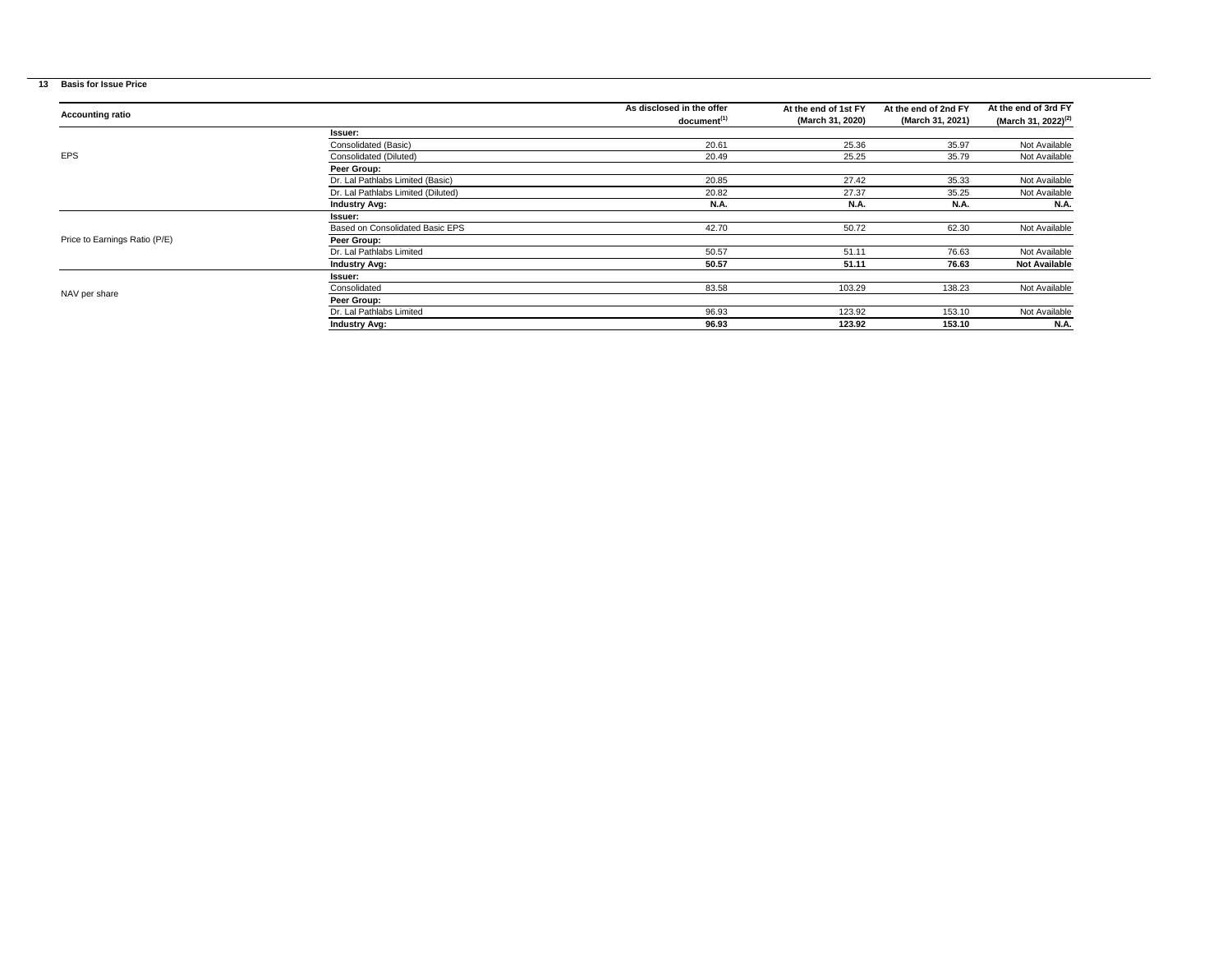## **13 Basis for Issue Price**

|                               |                                    | As disclosed in the offer | At the end of 1st FY | At the end of 2nd FY | At the end of 3rd FY            |
|-------------------------------|------------------------------------|---------------------------|----------------------|----------------------|---------------------------------|
| <b>Accounting ratio</b>       |                                    | document <sup>(1)</sup>   | (March 31, 2020)     | (March 31, 2021)     | (March 31, 2022) <sup>(2)</sup> |
|                               | Issuer:                            |                           |                      |                      |                                 |
|                               | Consolidated (Basic)               | 20.61                     | 25.36                | 35.97                | Not Available                   |
| <b>EPS</b>                    | Consolidated (Diluted)             | 20.49                     | 25.25                | 35.79                | Not Available                   |
|                               | Peer Group:                        |                           |                      |                      |                                 |
|                               | Dr. Lal Pathlabs Limited (Basic)   | 20.85                     | 27.42                | 35.33                | Not Available                   |
|                               | Dr. Lal Pathlabs Limited (Diluted) | 20.82                     | 27.37                | 35.25                | Not Available                   |
|                               | <b>Industry Avg:</b>               | <b>N.A.</b>               | <b>N.A.</b>          | <b>N.A.</b>          | <b>N.A.</b>                     |
|                               | <b>Issuer:</b>                     |                           |                      |                      |                                 |
|                               | Based on Consolidated Basic EPS    | 42.70                     | 50.72                | 62.30                | Not Available                   |
| Price to Earnings Ratio (P/E) | Peer Group:                        |                           |                      |                      |                                 |
|                               | Dr. Lal Pathlabs Limited           | 50.57                     | 51.11                | 76.63                | Not Available                   |
|                               | <b>Industry Avg:</b>               | 50.57                     | 51.11                | 76.63                | <b>Not Available</b>            |
|                               | <b>Issuer:</b>                     |                           |                      |                      |                                 |
| NAV per share                 | Consolidated                       | 83.58                     | 103.29               | 138.23               | Not Available                   |
|                               | Peer Group:                        |                           |                      |                      |                                 |
|                               | Dr. Lal Pathlabs Limited           | 96.93                     | 123.92               | 153.10               | Not Available                   |
|                               | <b>Industry Avg:</b>               | 96.93                     | 123.92               | 153.10               | <b>N.A.</b>                     |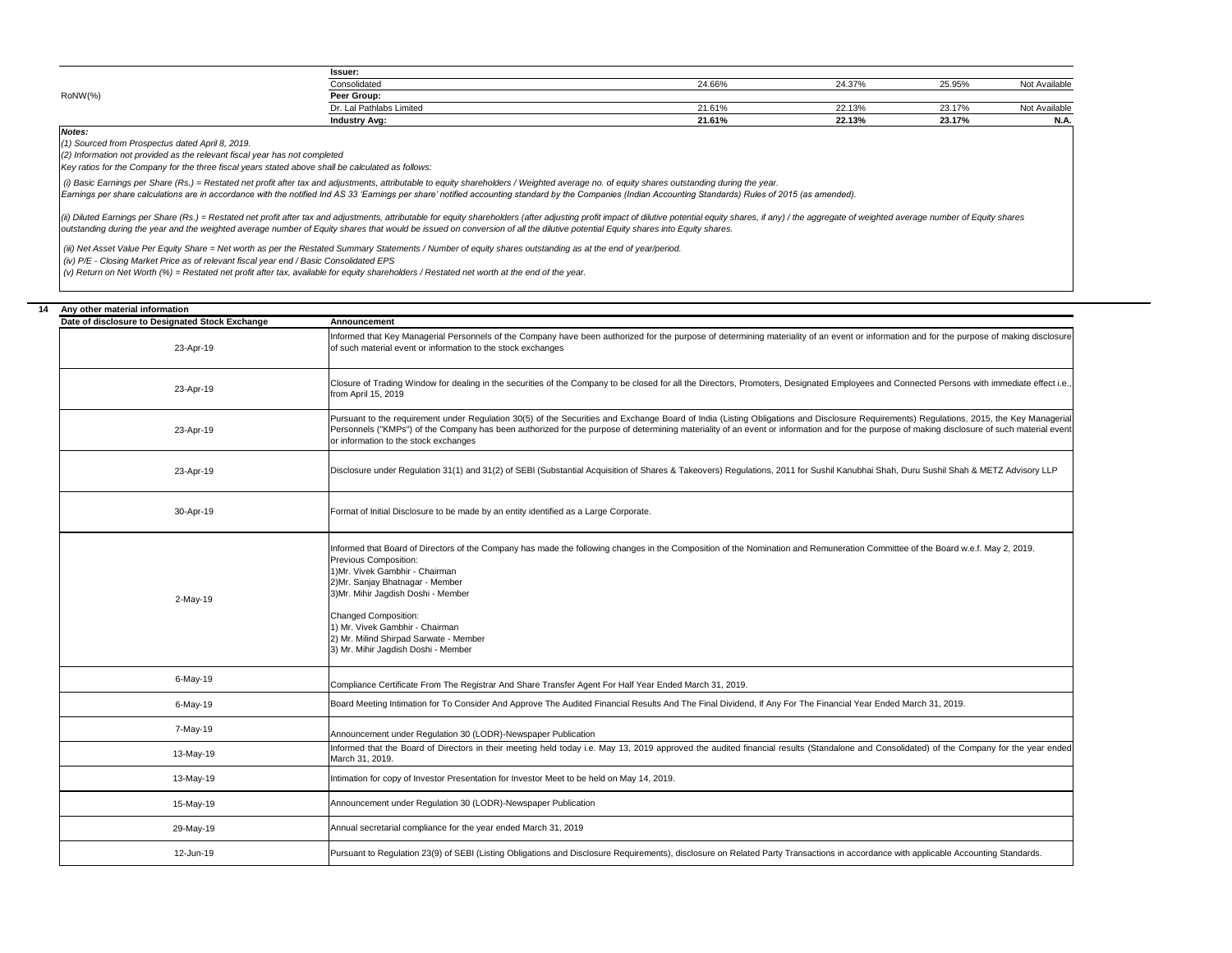|         | <b>Issuer:</b>           |        |        |        |               |
|---------|--------------------------|--------|--------|--------|---------------|
|         | Consolidated             | 24.66% | 24.37% | 25.95% | Not Available |
| RoNW(%) | Peer Group               |        |        |        |               |
|         | Dr. Lal Pathlabs Limited | 21.61% | 22.13% | 23.17% | . Availablr   |
|         | <b>Industry Avg:</b>     | 21.61% | 22.13% | 23.17% | <b>N.A.</b>   |

*Notes:*

*(1) Sourced from Prospectus dated April 8, 2019.*

*(2) Information not provided as the relevant fiscal year has not completed*

*Key ratios for the Company for the three fiscal years stated above shall be calculated as follows:*

 *(i) Basic Earnings per Share (Rs.) = Restated net profit after tax and adjustments, attributable to equity shareholders / Weighted average no. of equity shares outstanding during the year.*

*Earnings per share calculations are in accordance with the notified Ind AS 33 'Earnings per share' notified accounting standard by the Companies (Indian Accounting Standards) Rules of 2015 (as amended).*

(ii) Diluted Earnings per Share (Rs.) = Restated net profit after tax and adjustments, attributable for equity shareholders (after adjusting profit impact of dilutive potential equity shares, if any) / the aggregate of wei *outstanding during the year and the weighted average number of Equity shares that would be issued on conversion of all the dilutive potential Equity shares into Equity shares.*

 *(iii) Net Asset Value Per Equity Share = Net worth as per the Restated Summary Statements / Number of equity shares outstanding as at the end of year/period.*

 *(iv) P/E - Closing Market Price as of relevant fiscal year end / Basic Consolidated EPS*

 *(v) Return on Net Worth (%) = Restated net profit after tax, available for equity shareholders / Restated net worth at the end of the year.*

| 14 | Any other material information                  |                                                                                                                                                                                                                                                                                                                                                                                                                                                                        |  |  |  |  |  |
|----|-------------------------------------------------|------------------------------------------------------------------------------------------------------------------------------------------------------------------------------------------------------------------------------------------------------------------------------------------------------------------------------------------------------------------------------------------------------------------------------------------------------------------------|--|--|--|--|--|
|    | Date of disclosure to Designated Stock Exchange | Announcement                                                                                                                                                                                                                                                                                                                                                                                                                                                           |  |  |  |  |  |
|    | 23-Apr-19                                       | Informed that Key Managerial Personnels of the Company have been authorized for the purpose of determining materiality of an event or information and for the purpose of making disclosure<br>of such material event or information to the stock exchanges                                                                                                                                                                                                             |  |  |  |  |  |
|    | 23-Apr-19                                       | Closure of Trading Window for dealing in the securities of the Company to be closed for all the Directors, Promoters, Designated Employees and Connected Persons with immediate effect i.e.,<br>from April 15, 2019                                                                                                                                                                                                                                                    |  |  |  |  |  |
|    | 23-Apr-19                                       | Pursuant to the requirement under Regulation 30(5) of the Securities and Exchange Board of India (Listing Obligations and Disclosure Requirements) Regulations, 2015, the Key Managerial<br>Personnels ("KMPs") of the Company has been authorized for the purpose of determining materiality of an event or information and for the purpose of making disclosure of such material event<br>or information to the stock exchanges                                      |  |  |  |  |  |
|    | 23-Apr-19                                       | Disclosure under Regulation 31(1) and 31(2) of SEBI (Substantial Acquisition of Shares & Takeovers) Regulations, 2011 for Sushil Kanubhai Shah, Duru Sushil Shah & METZ Advisory LLP                                                                                                                                                                                                                                                                                   |  |  |  |  |  |
|    | 30-Apr-19                                       | Format of Initial Disclosure to be made by an entity identified as a Large Corporate.                                                                                                                                                                                                                                                                                                                                                                                  |  |  |  |  |  |
|    | 2-May-19                                        | Informed that Board of Directors of the Company has made the following changes in the Composition of the Nomination and Remuneration Committee of the Board w.e.f. May 2, 2019.<br>Previous Composition:<br>1)Mr. Vivek Gambhir - Chairman<br>2)Mr. Sanjay Bhatnagar - Member<br>3)Mr. Mihir Jagdish Doshi - Member<br><b>Changed Composition:</b><br>1) Mr. Vivek Gambhir - Chairman<br>2) Mr. Milind Shirpad Sarwate - Member<br>3) Mr. Mihir Jagdish Doshi - Member |  |  |  |  |  |
|    | 6-May-19                                        | Compliance Certificate From The Registrar And Share Transfer Agent For Half Year Ended March 31, 2019.                                                                                                                                                                                                                                                                                                                                                                 |  |  |  |  |  |
|    | 6-May-19                                        | Board Meeting Intimation for To Consider And Approve The Audited Financial Results And The Final Dividend, If Any For The Financial Year Ended March 31, 2019.                                                                                                                                                                                                                                                                                                         |  |  |  |  |  |
|    | 7-May-19                                        | Announcement under Regulation 30 (LODR)-Newspaper Publication                                                                                                                                                                                                                                                                                                                                                                                                          |  |  |  |  |  |
|    | 13-May-19                                       | Informed that the Board of Directors in their meeting held today i.e. May 13, 2019 approved the audited financial results (Standalone and Consolidated) of the Company for the year ended<br>March 31, 2019.                                                                                                                                                                                                                                                           |  |  |  |  |  |
|    | 13-May-19                                       | Intimation for copy of Investor Presentation for Investor Meet to be held on May 14, 2019.                                                                                                                                                                                                                                                                                                                                                                             |  |  |  |  |  |
|    | 15-May-19                                       | Announcement under Regulation 30 (LODR)-Newspaper Publication                                                                                                                                                                                                                                                                                                                                                                                                          |  |  |  |  |  |
|    | 29-May-19                                       | Annual secretarial compliance for the year ended March 31, 2019                                                                                                                                                                                                                                                                                                                                                                                                        |  |  |  |  |  |
|    | 12-Jun-19                                       | Pursuant to Regulation 23(9) of SEBI (Listing Obligations and Disclosure Requirements), disclosure on Related Party Transactions in accordance with applicable Accounting Standards.                                                                                                                                                                                                                                                                                   |  |  |  |  |  |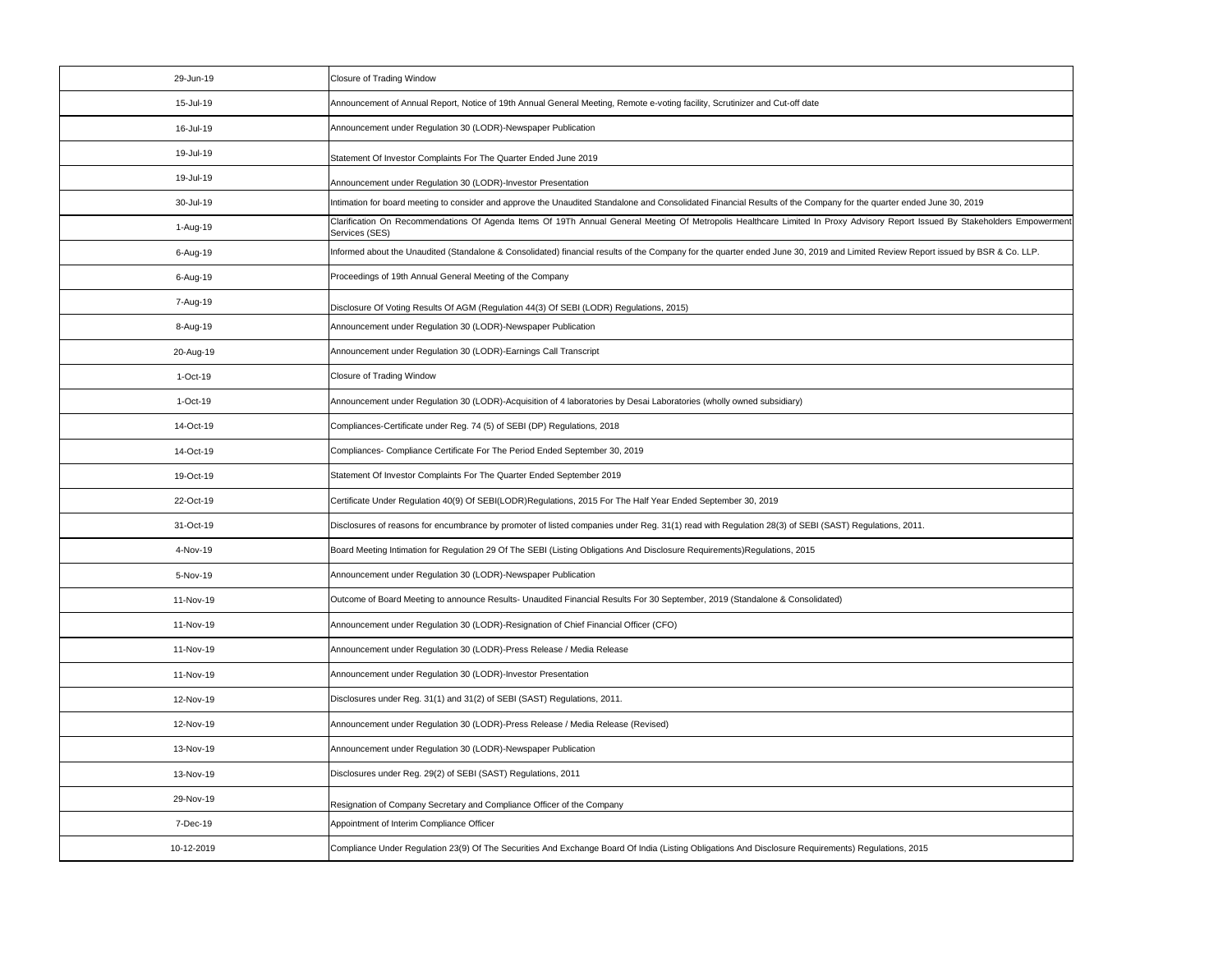| 29-Jun-19  | <b>Closure of Trading Window</b>                                                                                                                                                               |
|------------|------------------------------------------------------------------------------------------------------------------------------------------------------------------------------------------------|
| 15-Jul-19  | Announcement of Annual Report, Notice of 19th Annual General Meeting, Remote e-voting facility, Scrutinizer and Cut-off date                                                                   |
| 16-Jul-19  | Announcement under Regulation 30 (LODR)-Newspaper Publication                                                                                                                                  |
| 19-Jul-19  | Statement Of Investor Complaints For The Quarter Ended June 2019                                                                                                                               |
| 19-Jul-19  | Announcement under Regulation 30 (LODR)-Investor Presentation                                                                                                                                  |
| 30-Jul-19  | Intimation for board meeting to consider and approve the Unaudited Standalone and Consolidated Financial Results of the Company for the quarter ended June 30, 2019                            |
| 1-Aug-19   | Clarification On Recommendations Of Agenda Items Of 19Th Annual General Meeting Of Metropolis Healthcare Limited In Proxy Advisory Report Issued By Stakeholders Empowerment<br>Services (SES) |
| 6-Aug-19   | Informed about the Unaudited (Standalone & Consolidated) financial results of the Company for the quarter ended June 30, 2019 and Limited Review Report issued by BSR & Co. LLP.               |
| 6-Aug-19   | Proceedings of 19th Annual General Meeting of the Company                                                                                                                                      |
| 7-Aug-19   | Disclosure Of Voting Results Of AGM (Regulation 44(3) Of SEBI (LODR) Regulations, 2015)                                                                                                        |
| 8-Aug-19   | Announcement under Regulation 30 (LODR)-Newspaper Publication                                                                                                                                  |
| 20-Aug-19  | Announcement under Regulation 30 (LODR)-Earnings Call Transcript                                                                                                                               |
| 1-Oct-19   | <b>Closure of Trading Window</b>                                                                                                                                                               |
| 1-Oct-19   | Announcement under Regulation 30 (LODR)-Acquisition of 4 laboratories by Desai Laboratories (wholly owned subsidiary)                                                                          |
| 14-Oct-19  | Compliances-Certificate under Reg. 74 (5) of SEBI (DP) Regulations, 2018                                                                                                                       |
| 14-Oct-19  | Compliances- Compliance Certificate For The Period Ended September 30, 2019                                                                                                                    |
| 19-Oct-19  | Statement Of Investor Complaints For The Quarter Ended September 2019                                                                                                                          |
| 22-Oct-19  | Certificate Under Regulation 40(9) Of SEBI(LODR) Regulations, 2015 For The Half Year Ended September 30, 2019                                                                                  |
| 31-Oct-19  | Disclosures of reasons for encumbrance by promoter of listed companies under Reg. 31(1) read with Regulation 28(3) of SEBI (SAST) Regulations, 2011.                                           |
| 4-Nov-19   | Board Meeting Intimation for Regulation 29 Of The SEBI (Listing Obligations And Disclosure Requirements) Regulations, 2015                                                                     |
| 5-Nov-19   | Announcement under Regulation 30 (LODR)-Newspaper Publication                                                                                                                                  |
| 11-Nov-19  | Outcome of Board Meeting to announce Results- Unaudited Financial Results For 30 September, 2019 (Standalone & Consolidated)                                                                   |
| 11-Nov-19  | Announcement under Regulation 30 (LODR)-Resignation of Chief Financial Officer (CFO)                                                                                                           |
| 11-Nov-19  | Announcement under Regulation 30 (LODR)-Press Release / Media Release                                                                                                                          |
| 11-Nov-19  | Announcement under Regulation 30 (LODR)-Investor Presentation                                                                                                                                  |
| 12-Nov-19  | Disclosures under Reg. 31(1) and 31(2) of SEBI (SAST) Regulations, 2011.                                                                                                                       |
| 12-Nov-19  | Announcement under Regulation 30 (LODR)-Press Release / Media Release (Revised)                                                                                                                |
| 13-Nov-19  | Announcement under Regulation 30 (LODR)-Newspaper Publication                                                                                                                                  |
| 13-Nov-19  | Disclosures under Reg. 29(2) of SEBI (SAST) Regulations, 2011                                                                                                                                  |
| 29-Nov-19  | Resignation of Company Secretary and Compliance Officer of the Company                                                                                                                         |
| 7-Dec-19   | Appointment of Interim Compliance Officer                                                                                                                                                      |
| 10-12-2019 | Compliance Under Regulation 23(9) Of The Securities And Exchange Board Of India (Listing Obligations And Disclosure Requirements) Regulations, 2015                                            |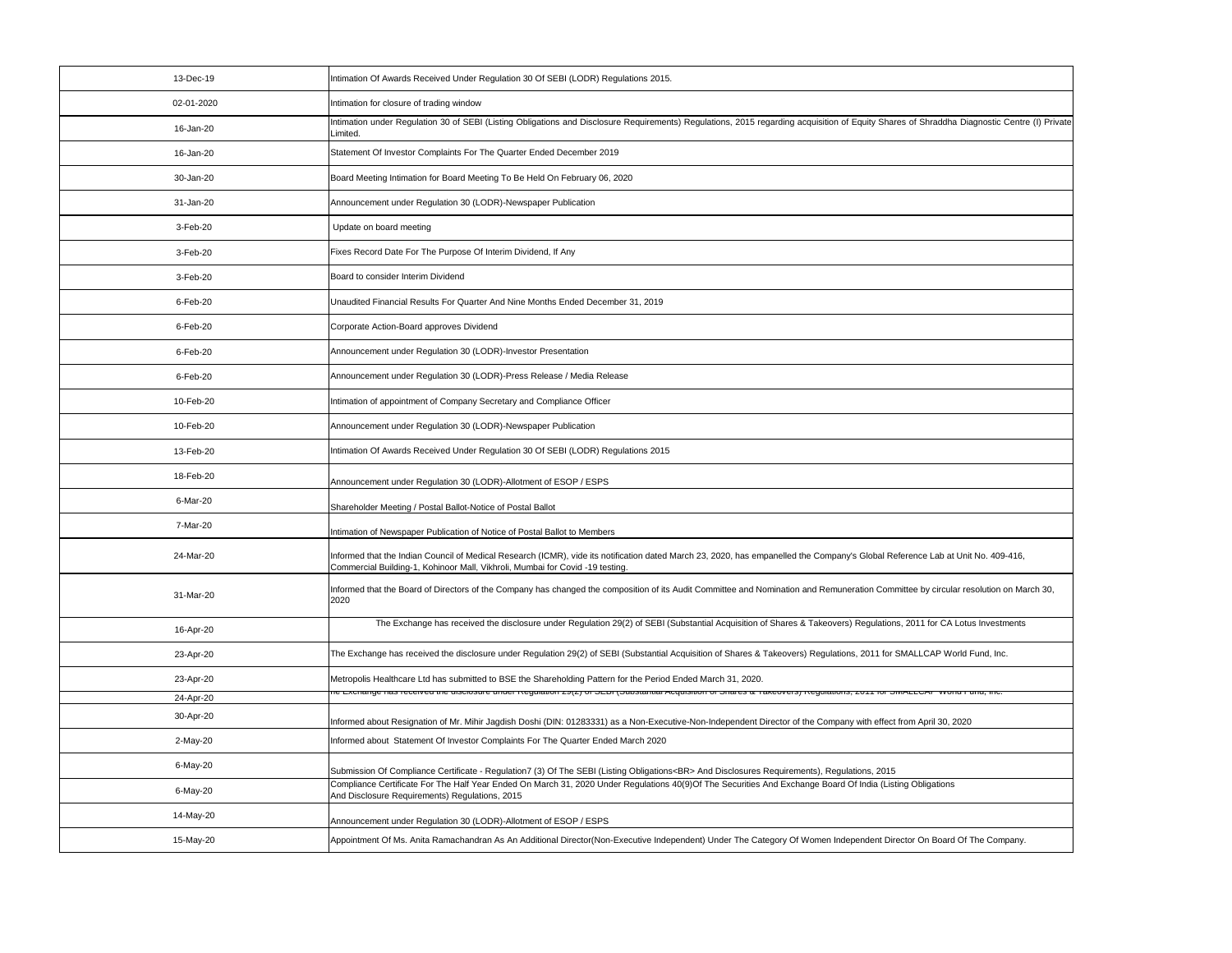| 13-Dec-19  | Intimation Of Awards Received Under Regulation 30 Of SEBI (LODR) Regulations 2015.                                                                                                                                                                               |
|------------|------------------------------------------------------------------------------------------------------------------------------------------------------------------------------------------------------------------------------------------------------------------|
| 02-01-2020 | Intimation for closure of trading window                                                                                                                                                                                                                         |
| 16-Jan-20  | Intimation under Regulation 30 of SEBI (Listing Obligations and Disclosure Requirements) Regulations, 2015 regarding acquisition of Equity Shares of Shraddha Diagnostic Centre (I) Private<br>Limited.                                                          |
| 16-Jan-20  | Statement Of Investor Complaints For The Quarter Ended December 2019                                                                                                                                                                                             |
| 30-Jan-20  | Board Meeting Intimation for Board Meeting To Be Held On February 06, 2020                                                                                                                                                                                       |
| 31-Jan-20  | Announcement under Regulation 30 (LODR)-Newspaper Publication                                                                                                                                                                                                    |
| 3-Feb-20   | Update on board meeting                                                                                                                                                                                                                                          |
| 3-Feb-20   | Fixes Record Date For The Purpose Of Interim Dividend, If Any                                                                                                                                                                                                    |
| 3-Feb-20   | Board to consider Interim Dividend                                                                                                                                                                                                                               |
| 6-Feb-20   | Unaudited Financial Results For Quarter And Nine Months Ended December 31, 2019                                                                                                                                                                                  |
| 6-Feb-20   | Corporate Action-Board approves Dividend                                                                                                                                                                                                                         |
| 6-Feb-20   | Announcement under Regulation 30 (LODR)-Investor Presentation                                                                                                                                                                                                    |
| 6-Feb-20   | Announcement under Regulation 30 (LODR)-Press Release / Media Release                                                                                                                                                                                            |
| 10-Feb-20  | Intimation of appointment of Company Secretary and Compliance Officer                                                                                                                                                                                            |
| 10-Feb-20  | Announcement under Regulation 30 (LODR)-Newspaper Publication                                                                                                                                                                                                    |
| 13-Feb-20  | Intimation Of Awards Received Under Regulation 30 Of SEBI (LODR) Regulations 2015                                                                                                                                                                                |
| 18-Feb-20  | Announcement under Regulation 30 (LODR)-Allotment of ESOP / ESPS                                                                                                                                                                                                 |
| 6-Mar-20   | Shareholder Meeting / Postal Ballot-Notice of Postal Ballot                                                                                                                                                                                                      |
| 7-Mar-20   | Intimation of Newspaper Publication of Notice of Postal Ballot to Members                                                                                                                                                                                        |
| 24-Mar-20  | Informed that the Indian Council of Medical Research (ICMR), vide its notification dated March 23, 2020, has empanelled the Company's Global Reference Lab at Unit No. 409-416,<br>Commercial Building-1, Kohinoor Mall, Vikhroli, Mumbai for Covid -19 testing. |
| 31-Mar-20  | Informed that the Board of Directors of the Company has changed the composition of its Audit Committee and Nomination and Remuneration Committee by circular resolution on March 30,<br>2020                                                                     |
| 16-Apr-20  | The Exchange has received the disclosure under Regulation 29(2) of SEBI (Substantial Acquisition of Shares & Takeovers) Regulations, 2011 for CA Lotus Investments                                                                                               |
| 23-Apr-20  | The Exchange has received the disclosure under Regulation 29(2) of SEBI (Substantial Acquisition of Shares & Takeovers) Regulations, 2011 for SMALLCAP World Fund, Inc.                                                                                          |
| 23-Apr-20  | Metropolis Healthcare Ltd has submitted to BSE the Shareholding Pattern for the Period Ended March 31, 2020.                                                                                                                                                     |
| 24-Apr-20  | יוט וחי דו טאַ ופטשוישן, בערכל איז די וויטוויטן דערכל איז סטוופוויט וויס אויט וויס אויס אויס אויס אויס וויס אוי                                                                                                                                                  |
| 30-Apr-20  | Informed about Resignation of Mr. Mihir Jagdish Doshi (DIN: 01283331) as a Non-Executive-Non-Independent Director of the Company with effect from April 30, 2020                                                                                                 |
| 2-May-20   | Informed about Statement Of Investor Complaints For The Quarter Ended March 2020                                                                                                                                                                                 |
| 6-May-20   | Submission Of Compliance Certificate - Regulation7 (3) Of The SEBI (Listing Obligations<br>And Disclosures Requirements), Regulations, 2015                                                                                                                      |
| 6-May-20   | Compliance Certificate For The Half Year Ended On March 31, 2020 Under Regulations 40(9)Of The Securities And Exchange Board Of India (Listing Obligations<br>And Disclosure Requirements) Regulations, 2015                                                     |
| 14-May-20  | Announcement under Regulation 30 (LODR)-Allotment of ESOP / ESPS                                                                                                                                                                                                 |
| 15-May-20  | Appointment Of Ms. Anita Ramachandran As An Additional Director(Non-Executive Independent) Under The Category Of Women Independent Director On Board Of The Company.                                                                                             |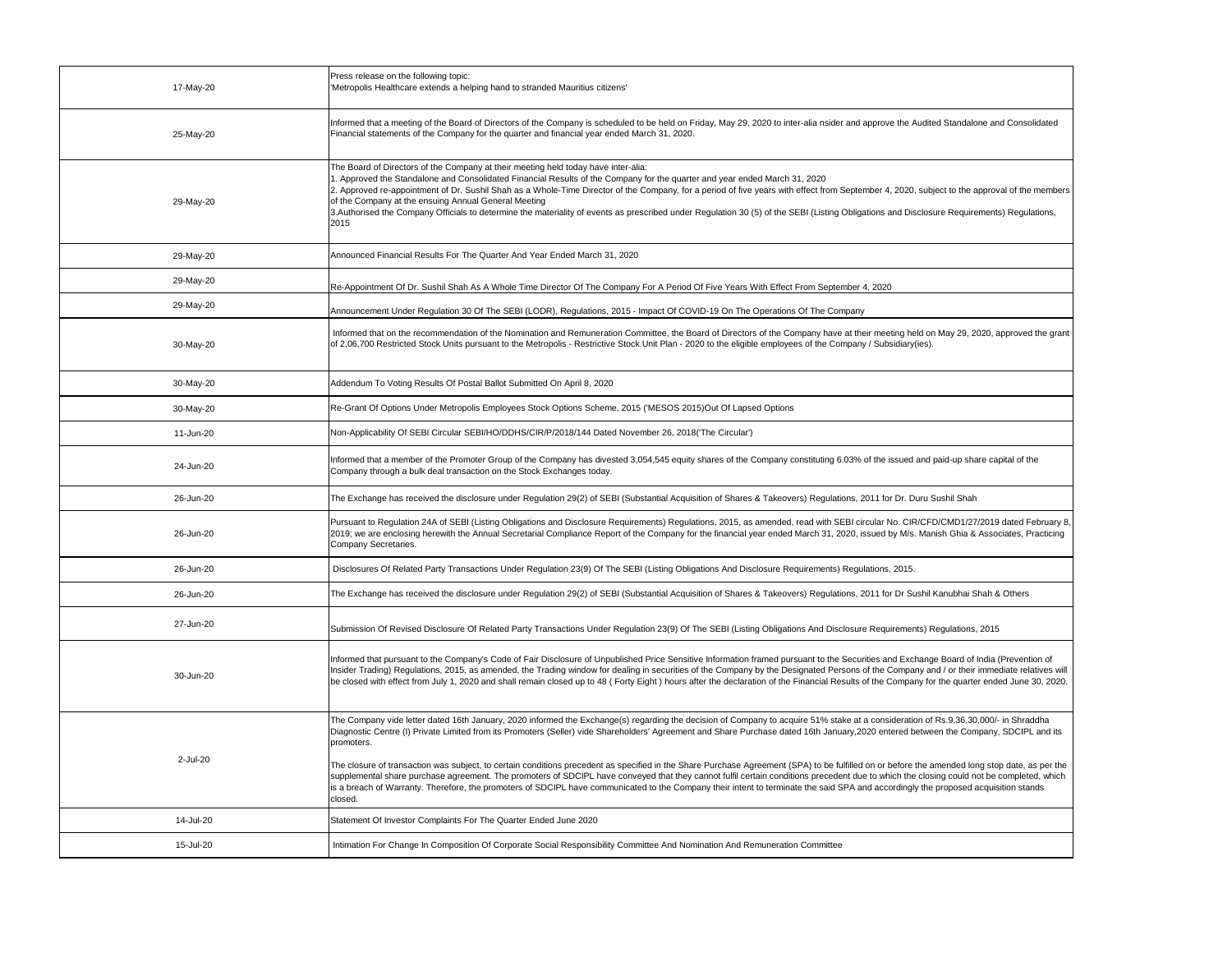| 17-May-20 | Press release on the following topic:<br>'Metropolis Healthcare extends a helping hand to stranded Mauritius citizens'                                                                                                                                                                                                                                                                                                                                                                                                                                                                                                                                                                                                                                                                                                                                                                                                                                                                      |
|-----------|---------------------------------------------------------------------------------------------------------------------------------------------------------------------------------------------------------------------------------------------------------------------------------------------------------------------------------------------------------------------------------------------------------------------------------------------------------------------------------------------------------------------------------------------------------------------------------------------------------------------------------------------------------------------------------------------------------------------------------------------------------------------------------------------------------------------------------------------------------------------------------------------------------------------------------------------------------------------------------------------|
| 25-May-20 | Informed that a meeting of the Board of Directors of the Company is scheduled to be held on Friday, May 29, 2020 to inter-alia nsider and approve the Audited Standalone and Consolidated<br>Financial statements of the Company for the quarter and financial year ended March 31, 2020.                                                                                                                                                                                                                                                                                                                                                                                                                                                                                                                                                                                                                                                                                                   |
| 29-May-20 | The Board of Directors of the Company at their meeting held today have inter-alia:<br>1. Approved the Standalone and Consolidated Financial Results of the Company for the quarter and year ended March 31, 2020<br>2. Approved re-appointment of Dr. Sushil Shah as a Whole-Time Director of the Company, for a period of five years with effect from September 4, 2020, subject to the approval of the members<br>of the Company at the ensuing Annual General Meeting<br>3. Authorised the Company Officials to determine the materiality of events as prescribed under Regulation 30 (5) of the SEBI (Listing Obligations and Disclosure Requirements) Regulations,<br>2015                                                                                                                                                                                                                                                                                                             |
| 29-May-20 | Announced Financial Results For The Quarter And Year Ended March 31, 2020                                                                                                                                                                                                                                                                                                                                                                                                                                                                                                                                                                                                                                                                                                                                                                                                                                                                                                                   |
| 29-May-20 | Re-Appointment Of Dr. Sushil Shah As A Whole Time Director Of The Company For A Period Of Five Years With Effect From September 4, 2020                                                                                                                                                                                                                                                                                                                                                                                                                                                                                                                                                                                                                                                                                                                                                                                                                                                     |
| 29-May-20 | Announcement Under Regulation 30 Of The SEBI (LODR), Regulations, 2015 - Impact Of COVID-19 On The Operations Of The Company                                                                                                                                                                                                                                                                                                                                                                                                                                                                                                                                                                                                                                                                                                                                                                                                                                                                |
| 30-May-20 | Informed that on the recommendation of the Nomination and Remuneration Committee, the Board of Directors of the Company have at their meeting held on May 29, 2020, approved the grant<br>of 2,06,700 Restricted Stock Units pursuant to the Metropolis - Restrictive Stock Unit Plan - 2020 to the eligible employees of the Company / Subsidiary(ies).                                                                                                                                                                                                                                                                                                                                                                                                                                                                                                                                                                                                                                    |
| 30-May-20 | Addendum To Voting Results Of Postal Ballot Submitted On April 8, 2020                                                                                                                                                                                                                                                                                                                                                                                                                                                                                                                                                                                                                                                                                                                                                                                                                                                                                                                      |
| 30-May-20 | Re-Grant Of Options Under Metropolis Employees Stock Options Scheme, 2015 ('MESOS 2015)Out Of Lapsed Options                                                                                                                                                                                                                                                                                                                                                                                                                                                                                                                                                                                                                                                                                                                                                                                                                                                                                |
| 11-Jun-20 | Non-Applicability Of SEBI Circular SEBI/HO/DDHS/CIR/P/2018/144 Dated November 26, 2018('The Circular')                                                                                                                                                                                                                                                                                                                                                                                                                                                                                                                                                                                                                                                                                                                                                                                                                                                                                      |
| 24-Jun-20 | Informed that a member of the Promoter Group of the Company has divested 3,054,545 equity shares of the Company constituting 6.03% of the issued and paid-up share capital of the<br>Company through a bulk deal transaction on the Stock Exchanges today.                                                                                                                                                                                                                                                                                                                                                                                                                                                                                                                                                                                                                                                                                                                                  |
| 26-Jun-20 | The Exchange has received the disclosure under Regulation 29(2) of SEBI (Substantial Acquisition of Shares & Takeovers) Regulations, 2011 for Dr. Duru Sushil Shah                                                                                                                                                                                                                                                                                                                                                                                                                                                                                                                                                                                                                                                                                                                                                                                                                          |
| 26-Jun-20 | Pursuant to Regulation 24A of SEBI (Listing Obligations and Disclosure Requirements) Regulations, 2015, as amended, read with SEBI circular No. CIR/CFD/CMD1/27/2019 dated February 8,<br>2019; we are enclosing herewith the Annual Secretarial Compliance Report of the Company for the financial year ended March 31, 2020, issued by M/s. Manish Ghia & Associates, Practicing<br>Company Secretaries.                                                                                                                                                                                                                                                                                                                                                                                                                                                                                                                                                                                  |
| 26-Jun-20 | Disclosures Of Related Party Transactions Under Regulation 23(9) Of The SEBI (Listing Obligations And Disclosure Requirements) Regulations, 2015.                                                                                                                                                                                                                                                                                                                                                                                                                                                                                                                                                                                                                                                                                                                                                                                                                                           |
| 26-Jun-20 | The Exchange has received the disclosure under Regulation 29(2) of SEBI (Substantial Acquisition of Shares & Takeovers) Regulations, 2011 for Dr Sushil Kanubhai Shah & Others                                                                                                                                                                                                                                                                                                                                                                                                                                                                                                                                                                                                                                                                                                                                                                                                              |
| 27-Jun-20 | Submission Of Revised Disclosure Of Related Party Transactions Under Regulation 23(9) Of The SEBI (Listing Obligations And Disclosure Requirements) Regulations, 2015                                                                                                                                                                                                                                                                                                                                                                                                                                                                                                                                                                                                                                                                                                                                                                                                                       |
| 30-Jun-20 | Informed that pursuant to the Company's Code of Fair Disclosure of Unpublished Price Sensitive Information framed pursuant to the Securities and Exchange Board of India (Prevention of<br>Insider Trading) Regulations, 2015, as amended, the Trading window for dealing in securities of the Company by the Designated Persons of the Company and / or their immediate relatives will<br>be closed with effect from July 1, 2020 and shall remain closed up to 48 (Forty Eight) hours after the declaration of the Financial Results of the Company for the quarter ended June 30, 2020.                                                                                                                                                                                                                                                                                                                                                                                                  |
| 2-Jul-20  | The Company vide letter dated 16th January, 2020 informed the Exchange(s) regarding the decision of Company to acquire 51% stake at a consideration of Rs.9,36,30,000/- in Shraddha<br>Diagnostic Centre (I) Private Limited from its Promoters (Seller) vide Shareholders' Agreement and Share Purchase dated 16th January, 2020 entered between the Company, SDCIPL and its<br>promoters.<br>The closure of transaction was subject, to certain conditions precedent as specified in the Share Purchase Agreement (SPA) to be fulfilled on or before the amended long stop date, as per the<br>supplemental share purchase agreement. The promoters of SDCIPL have conveyed that they cannot fulfil certain conditions precedent due to which the closing could not be completed, which<br>is a breach of Warranty. Therefore, the promoters of SDCIPL have communicated to the Company their intent to terminate the said SPA and accordingly the proposed acquisition stands<br>closed. |
| 14-Jul-20 | Statement Of Investor Complaints For The Quarter Ended June 2020                                                                                                                                                                                                                                                                                                                                                                                                                                                                                                                                                                                                                                                                                                                                                                                                                                                                                                                            |
| 15-Jul-20 | Intimation For Change In Composition Of Corporate Social Responsibility Committee And Nomination And Remuneration Committee                                                                                                                                                                                                                                                                                                                                                                                                                                                                                                                                                                                                                                                                                                                                                                                                                                                                 |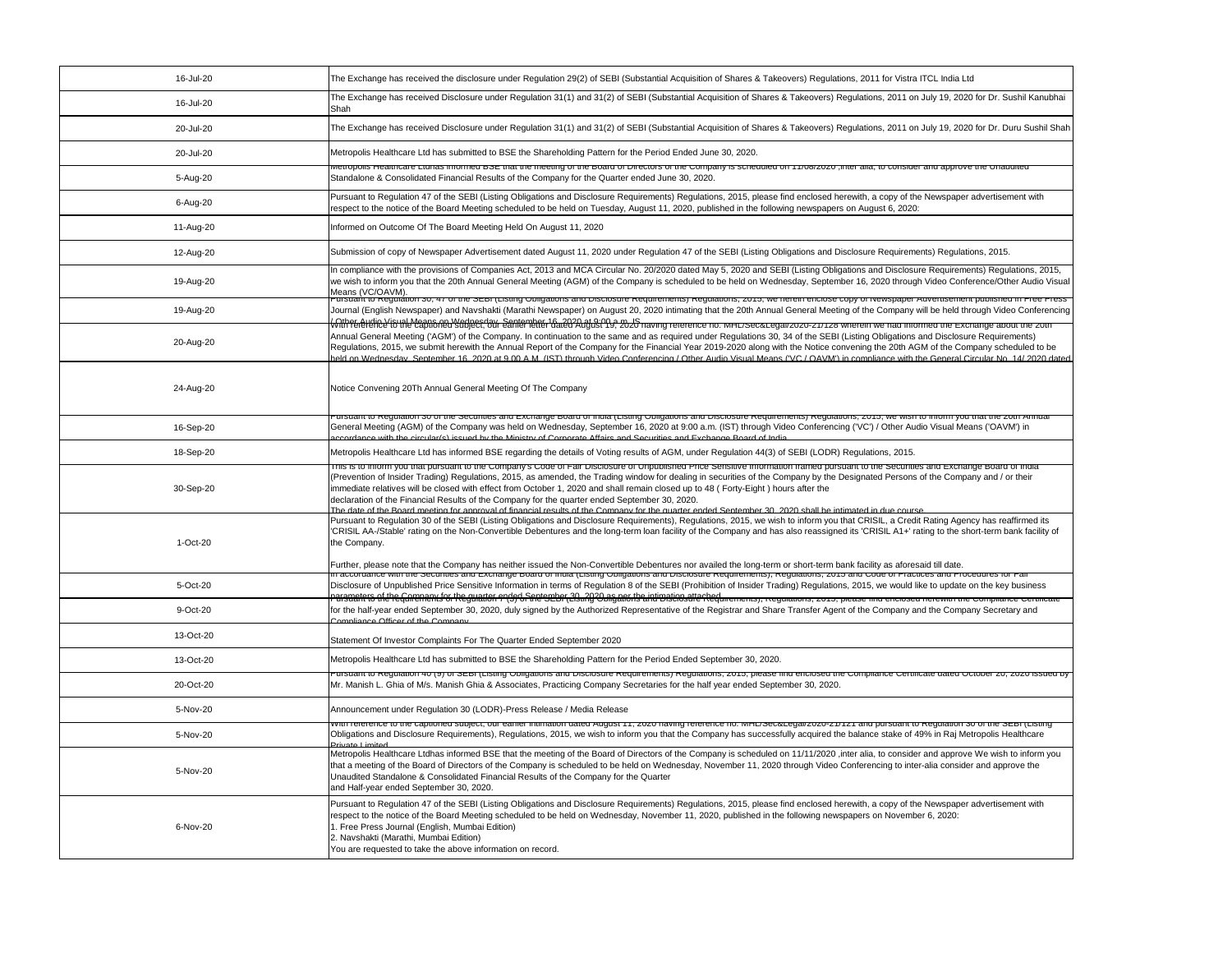| 16-Jul-20 | The Exchange has received the disclosure under Regulation 29(2) of SEBI (Substantial Acquisition of Shares & Takeovers) Regulations, 2011 for Vistra ITCL India Ltd                                                                                                                                                                                                                                                                                                                                                                                                                                                                                                                                                                                                        |
|-----------|----------------------------------------------------------------------------------------------------------------------------------------------------------------------------------------------------------------------------------------------------------------------------------------------------------------------------------------------------------------------------------------------------------------------------------------------------------------------------------------------------------------------------------------------------------------------------------------------------------------------------------------------------------------------------------------------------------------------------------------------------------------------------|
| 16-Jul-20 | The Exchange has received Disclosure under Regulation 31(1) and 31(2) of SEBI (Substantial Acquisition of Shares & Takeovers) Regulations, 2011 on July 19, 2020 for Dr. Sushil Kanubhai<br>Shah                                                                                                                                                                                                                                                                                                                                                                                                                                                                                                                                                                           |
| 20-Jul-20 | The Exchange has received Disclosure under Regulation 31(1) and 31(2) of SEBI (Substantial Acquisition of Shares & Takeovers) Regulations, 2011 on July 19, 2020 for Dr. Duru Sushil Shah                                                                                                                                                                                                                                                                                                                                                                                                                                                                                                                                                                                  |
| 20-Jul-20 | Metropolis Healthcare Ltd has submitted to BSE the Shareholding Pattern for the Period Ended June 30, 2020.                                                                                                                                                                                                                                                                                                                                                                                                                                                                                                                                                                                                                                                                |
| 5-Aug-20  | <del>metropolis riealtricate Lturias lifformed DSE triat the meeting of the Doard of Difectors of the Company is scrieduled on T1706/2020 an</del><br>Standalone & Consolidated Financial Results of the Company for the Quarter ended June 30, 2020.                                                                                                                                                                                                                                                                                                                                                                                                                                                                                                                      |
| 6-Aug-20  | Pursuant to Regulation 47 of the SEBI (Listing Obligations and Disclosure Requirements) Regulations, 2015, please find enclosed herewith, a copy of the Newspaper advertisement with<br>respect to the notice of the Board Meeting scheduled to be held on Tuesday, August 11, 2020, published in the following newspapers on August 6, 2020:                                                                                                                                                                                                                                                                                                                                                                                                                              |
| 11-Aug-20 | Informed on Outcome Of The Board Meeting Held On August 11, 2020                                                                                                                                                                                                                                                                                                                                                                                                                                                                                                                                                                                                                                                                                                           |
| 12-Aug-20 | Submission of copy of Newspaper Advertisement dated August 11, 2020 under Regulation 47 of the SEBI (Listing Obligations and Disclosure Requirements) Regulations, 2015.                                                                                                                                                                                                                                                                                                                                                                                                                                                                                                                                                                                                   |
| 19-Aug-20 | In compliance with the provisions of Companies Act, 2013 and MCA Circular No. 20/2020 dated May 5, 2020 and SEBI (Listing Obligations and Disclosure Requirements) Regulations, 2015,<br>we wish to inform you that the 20th Annual General Meeting (AGM) of the Company is scheduled to be held on Wednesday, September 16, 2020 through Video Conference/Other Audio Visual<br>Means (VC/OAVM).                                                                                                                                                                                                                                                                                                                                                                          |
| 19-Aug-20 | ursuant to Regulation 30, 47 of the SEDI (Listing Obligations and Disclosure Requirements) Regulations, 2013, we netern enclose copy of Newspaper Advertisement published in Free Fress<br>Journal (English Newspaper) and Navshakti (Marathi Newspaper) on August 20, 2020 intimating that the 20th Annual General Meeting of the Company will be held through Video Conferencing                                                                                                                                                                                                                                                                                                                                                                                         |
| 20-Aug-20 | (Other Audio Visual Magns on Wodnesday, Sentember 16, 2020 at 0:00 at 0:00 aving reterence no. MHL/Sec&Legal/2020-21/128 wherein we had informed the Exchange about the 20th<br>Annual General Meeting ('AGM') of the Company. In continuation to the same and as required under Regulations 30, 34 of the SEBI (Listing Obligations and Disclosure Requirements)<br>Regulations, 2015, we submit herewith the Annual Report of the Company for the Financial Year 2019-2020 along with the Notice convening the 20th AGM of the Company scheduled to be<br>held on Wednesday, September 16, 2020 at 9.00 A.M. (IST) through Video Conferencing / Other Audio Visual Means ('VC / OAVM') in compliance with the General Circular No. 14/ 2020 dated                        |
| 24-Aug-20 | Notice Convening 20Th Annual General Meeting Of The Company                                                                                                                                                                                                                                                                                                                                                                                                                                                                                                                                                                                                                                                                                                                |
| 16-Sep-20 | ursuant to Regulation ou or the Securities and Exchange board or mula (Listing Obilgations and Disclosure Requirements) Regulations, 2010, we wish to inform you that t<br>General Meeting (AGM) of the Company was held on Wednesday, September 16, 2020 at 9:00 a.m. (IST) through Video Conferencing ('VC') / Other Audio Visual Means ('OAVM') in<br>ecordance with the circular(s) issued by the Ministry of Corporate Affairs and Securities and Exchange Roard of India                                                                                                                                                                                                                                                                                             |
| 18-Sep-20 | Metropolis Healthcare Ltd has informed BSE regarding the details of Voting results of AGM, under Regulation 44(3) of SEBI (LODR) Regulations, 2015.                                                                                                                                                                                                                                                                                                                                                                                                                                                                                                                                                                                                                        |
| 30-Sep-20 | This is to imorm you that pursuant to the Company's Code or Fair Disclosure or Onpublished Price Sensitive Information framed pursuant to the Securities and Exchange Board or mul<br>(Prevention of Insider Trading) Regulations, 2015, as amended, the Trading window for dealing in securities of the Company by the Designated Persons of the Company and / or their<br>immediate relatives will be closed with effect from October 1, 2020 and shall remain closed up to 48 (Forty-Eight) hours after the<br>declaration of the Financial Results of the Company for the quarter ended September 30, 2020.<br>The date of the Board meeting for annroval of financial results of the Company for the quarter ended September 30 2020 shall be intimated in due course |
| 1-Oct-20  | Pursuant to Regulation 30 of the SEBI (Listing Obligations and Disclosure Requirements), Regulations, 2015, we wish to inform you that CRISIL, a Credit Rating Agency has reaffirmed its<br>'CRISIL AA-/Stable' rating on the Non-Convertible Debentures and the long-term loan facility of the Company and has also reassigned its 'CRISIL A1+' rating to the short-term bank facility of<br>the Company.<br>Further, please note that the Company has neither issued the Non-Convertible Debentures nor availed the long-term or short-term bank facility as aforesaid till date.                                                                                                                                                                                        |
| 5-Oct-20  | n accordance with the Securities and Exchange Board of India (Eisting Obligations and Disclosure Requirements), Regulations, 2015 and Code of Practices and Procedures for Fall<br>Disclosure of Unpublished Price Sensitive Information in terms of Regulation 8 of the SEBI (Prohibition of Insider Trading) Regulations, 2015, we would like to update on the key business                                                                                                                                                                                                                                                                                                                                                                                              |
| 9-Oct-20  | Parsmatrt6 af theGamementsfortkegulation <i>אל</i> פלה להוחים המשפטים להודים להודים המשפטים להודים המשפטים המשפטים המשפטים המשפטים המשפטים היום המשפטים היום המונימים היום המונימים והיים היום<br>for the half-year ended September 30, 2020, duly signed by the Authorized Representative of the Registrar and Share Transfer Agent of the Company and the Company Secretary and                                                                                                                                                                                                                                                                                                                                                                                          |
| 13-Oct-20 | Compliance Officer of the Company                                                                                                                                                                                                                                                                                                                                                                                                                                                                                                                                                                                                                                                                                                                                          |
|           | Statement Of Investor Complaints For The Quarter Ended September 2020                                                                                                                                                                                                                                                                                                                                                                                                                                                                                                                                                                                                                                                                                                      |
| 13-Oct-20 | Metropolis Healthcare Ltd has submitted to BSE the Shareholding Pattern for the Period Ended September 30, 2020.<br>Pursuant to Regulation 40 (9) or SEBI (Listing Obligations and Disclosure Requirements) Regulations, 2015, please lind enclosed the Compilance Centificate                                                                                                                                                                                                                                                                                                                                                                                                                                                                                             |
| 20-Oct-20 | Mr. Manish L. Ghia of M/s. Manish Ghia & Associates, Practicing Company Secretaries for the half year ended September 30, 2020.                                                                                                                                                                                                                                                                                                                                                                                                                                                                                                                                                                                                                                            |
| 5-Nov-20  | Announcement under Regulation 30 (LODR)-Press Release / Media Release<br>with reference to the capitoned subject, our earlier intimation dated August 11, 2020 naving reference no. MinL/SecoLegal/2020-21/121 and pursuant to Regulation S0 of the SEDI (Listing                                                                                                                                                                                                                                                                                                                                                                                                                                                                                                          |
| 5-Nov-20  | Obligations and Disclosure Requirements), Regulations, 2015, we wish to inform you that the Company has successfully acquired the balance stake of 49% in Raj Metropolis Healthcare                                                                                                                                                                                                                                                                                                                                                                                                                                                                                                                                                                                        |
| 5-Nov-20  | Metropolis Healthcare Ltdhas informed BSE that the meeting of the Board of Directors of the Company is scheduled on 11/11/2020 ,inter alia, to consider and approve We wish to inform you<br>that a meeting of the Board of Directors of the Company is scheduled to be held on Wednesday, November 11, 2020 through Video Conferencing to inter-alia consider and approve the<br>Unaudited Standalone & Consolidated Financial Results of the Company for the Quarter<br>and Half-year ended September 30, 2020.                                                                                                                                                                                                                                                          |
| 6-Nov-20  | Pursuant to Regulation 47 of the SEBI (Listing Obligations and Disclosure Requirements) Regulations, 2015, please find enclosed herewith, a copy of the Newspaper advertisement with<br>respect to the notice of the Board Meeting scheduled to be held on Wednesday, November 11, 2020, published in the following newspapers on November 6, 2020:<br>1. Free Press Journal (English, Mumbai Edition)<br>2. Navshakti (Marathi, Mumbai Edition)<br>You are requested to take the above information on record.                                                                                                                                                                                                                                                             |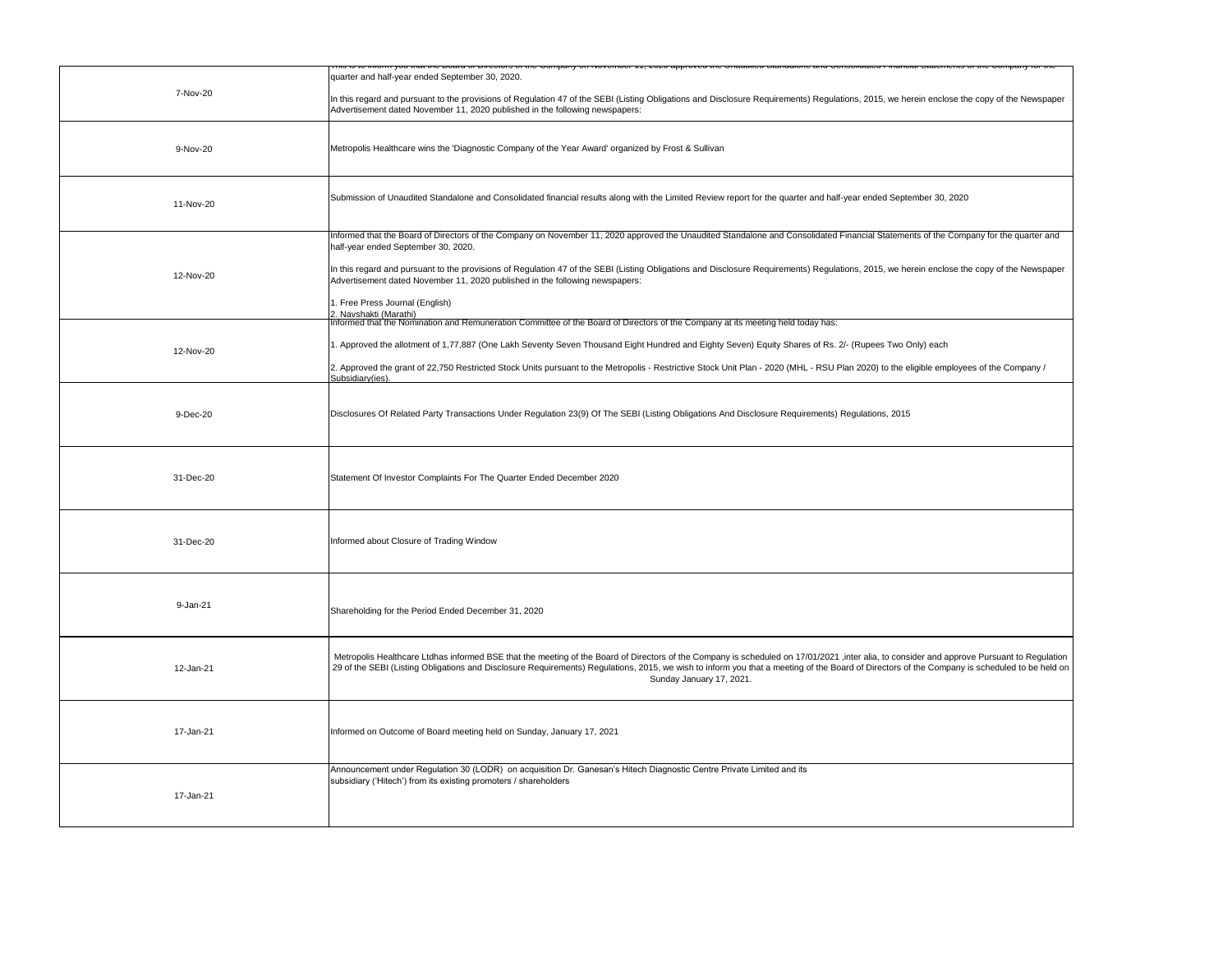|           | ю ю впонн убазнасть родга огрнообы от то бонрану он готонной тт, додо аррытов то онавано отнавлють ана бонбователь наповы бактнонко от ты бонрану                                                                                                                           |
|-----------|-----------------------------------------------------------------------------------------------------------------------------------------------------------------------------------------------------------------------------------------------------------------------------|
| 7-Nov-20  | quarter and half-year ended September 30, 2020.                                                                                                                                                                                                                             |
|           | In this regard and pursuant to the provisions of Regulation 47 of the SEBI (Listing Obligations and Disclosure Requirements) Regulations, 2015, we herein enclose the copy of the Newspaper<br>Advertisement dated November 11, 2020 published in the following newspapers: |
| 9-Nov-20  |                                                                                                                                                                                                                                                                             |
|           | Metropolis Healthcare wins the 'Diagnostic Company of the Year Award' organized by Frost & Sullivan                                                                                                                                                                         |
|           | Submission of Unaudited Standalone and Consolidated financial results along with the Limited Review report for the quarter and half-year ended September 30, 2020                                                                                                           |
| 11-Nov-20 |                                                                                                                                                                                                                                                                             |
|           | Informed that the Board of Directors of the Company on November 11, 2020 approved the Unaudited Standalone and Consolidated Financial Statements of the Company for the quarter and<br>half-year ended September 30, 2020.                                                  |
| 12-Nov-20 | In this regard and pursuant to the provisions of Regulation 47 of the SEBI (Listing Obligations and Disclosure Requirements) Regulations, 2015, we herein enclose the copy of the Newspaper<br>Advertisement dated November 11, 2020 published in the following newspapers: |
|           | 1. Free Press Journal (English)<br>2. Navshakti (Marathi)                                                                                                                                                                                                                   |
|           | Informed that the Nomination and Remuneration Committee of the Board of Directors of the Company at its meeting held today has:                                                                                                                                             |
| 12-Nov-20 | 1. Approved the allotment of 1,77,887 (One Lakh Seventy Seven Thousand Eight Hundred and Eighty Seven) Equity Shares of Rs. 2/- (Rupees Two Only) each                                                                                                                      |
|           | 2. Approved the grant of 22,750 Restricted Stock Units pursuant to the Metropolis - Restrictive Stock Unit Plan - 2020 (MHL - RSU Plan 2020) to the eligible employees of the Company /<br>Subsidiary(ies)                                                                  |
|           |                                                                                                                                                                                                                                                                             |
| 9-Dec-20  | Disclosures Of Related Party Transactions Under Regulation 23(9) Of The SEBI (Listing Obligations And Disclosure Requirements) Regulations, 2015                                                                                                                            |
|           |                                                                                                                                                                                                                                                                             |
|           |                                                                                                                                                                                                                                                                             |
|           |                                                                                                                                                                                                                                                                             |
| 31-Dec-20 | Statement Of Investor Complaints For The Quarter Ended December 2020                                                                                                                                                                                                        |
|           |                                                                                                                                                                                                                                                                             |
|           |                                                                                                                                                                                                                                                                             |
| 31-Dec-20 | Informed about Closure of Trading Window                                                                                                                                                                                                                                    |
|           |                                                                                                                                                                                                                                                                             |
| 9-Jan-21  | Shareholding for the Period Ended December 31, 2020                                                                                                                                                                                                                         |
|           |                                                                                                                                                                                                                                                                             |
|           | Metropolis Healthcare Ltdhas informed BSE that the meeting of the Board of Directors of the Company is scheduled on 17/01/2021 , inter alia, to consider and approve Pursuant to Regulation                                                                                 |
| 12-Jan-21 | 29 of the SEBI (Listing Obligations and Disclosure Requirements) Regulations, 2015, we wish to inform you that a meeting of the Board of Directors of the Company is scheduled to be held on<br>Sunday January 17, 2021.                                                    |
|           |                                                                                                                                                                                                                                                                             |
| 17-Jan-21 | Informed on Outcome of Board meeting held on Sunday, January 17, 2021                                                                                                                                                                                                       |
|           |                                                                                                                                                                                                                                                                             |
|           | Announcement under Regulation 30 (LODR) on acquisition Dr. Ganesan's Hitech Diagnostic Centre Private Limited and its<br>subsidiary ('Hitech') from its existing promoters / shareholders                                                                                   |
| 17-Jan-21 |                                                                                                                                                                                                                                                                             |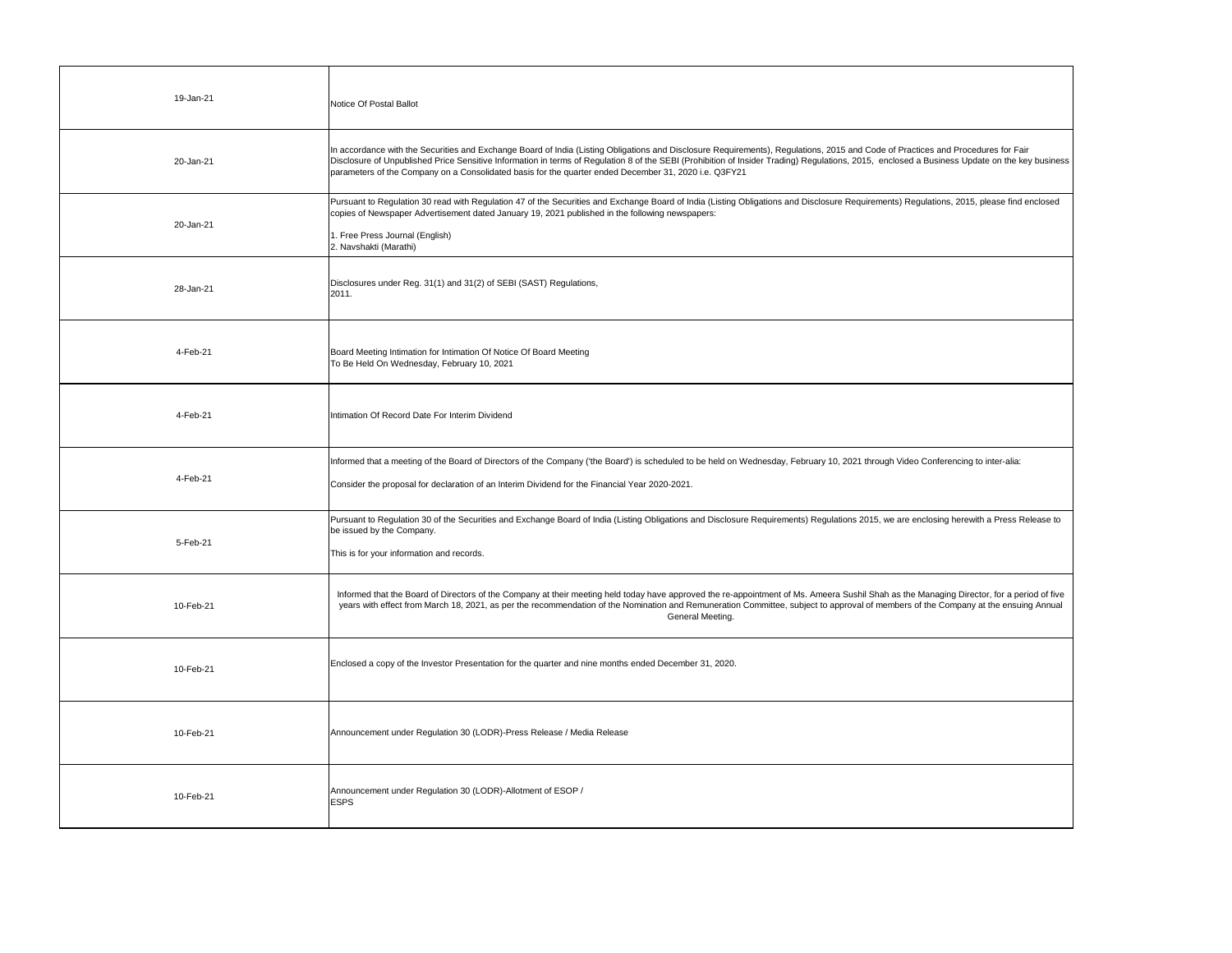| 19-Jan-21 | Notice Of Postal Ballot                                                                                                                                                                                                                                                                                                                                                                                                                                                                    |
|-----------|--------------------------------------------------------------------------------------------------------------------------------------------------------------------------------------------------------------------------------------------------------------------------------------------------------------------------------------------------------------------------------------------------------------------------------------------------------------------------------------------|
| 20-Jan-21 | In accordance with the Securities and Exchange Board of India (Listing Obligations and Disclosure Requirements), Regulations, 2015 and Code of Practices and Procedures for Fair<br>Disclosure of Unpublished Price Sensitive Information in terms of Regulation 8 of the SEBI (Prohibition of Insider Trading) Regulations, 2015, enclosed a Business Update on the key business<br>parameters of the Company on a Consolidated basis for the quarter ended December 31, 2020 i.e. Q3FY21 |
| 20-Jan-21 | Pursuant to Regulation 30 read with Regulation 47 of the Securities and Exchange Board of India (Listing Obligations and Disclosure Requirements) Regulations, 2015, please find enclosed<br>copies of Newspaper Advertisement dated January 19, 2021 published in the following newspapers:<br>1. Free Press Journal (English)<br>2. Navshakti (Marathi)                                                                                                                                  |
| 28-Jan-21 | Disclosures under Reg. 31(1) and 31(2) of SEBI (SAST) Regulations,<br>2011.                                                                                                                                                                                                                                                                                                                                                                                                                |
| 4-Feb-21  | Board Meeting Intimation for Intimation Of Notice Of Board Meeting<br>To Be Held On Wednesday, February 10, 2021                                                                                                                                                                                                                                                                                                                                                                           |
| 4-Feb-21  | Intimation Of Record Date For Interim Dividend                                                                                                                                                                                                                                                                                                                                                                                                                                             |
| 4-Feb-21  | Informed that a meeting of the Board of Directors of the Company ('the Board') is scheduled to be held on Wednesday, February 10, 2021 through Video Conferencing to inter-alia:<br>Consider the proposal for declaration of an Interim Dividend for the Financial Year 2020-2021.                                                                                                                                                                                                         |
| 5-Feb-21  | Pursuant to Regulation 30 of the Securities and Exchange Board of India (Listing Obligations and Disclosure Requirements) Regulations 2015, we are enclosing herewith a Press Release to<br>be issued by the Company.<br>This is for your information and records.                                                                                                                                                                                                                         |
| 10-Feb-21 | Informed that the Board of Directors of the Company at their meeting held today have approved the re-appointment of Ms. Ameera Sushil Shah as the Managing Director, for a period of five<br>years with effect from March 18, 2021, as per the recommendation of the Nomination and Remuneration Committee, subject to approval of members of the Company at the ensuing Annual<br>General Meeting.                                                                                        |
| 10-Feb-21 | Enclosed a copy of the Investor Presentation for the quarter and nine months ended December 31, 2020.                                                                                                                                                                                                                                                                                                                                                                                      |
| 10-Feb-21 | Announcement under Regulation 30 (LODR)-Press Release / Media Release                                                                                                                                                                                                                                                                                                                                                                                                                      |
| 10-Feb-21 | Announcement under Regulation 30 (LODR)-Allotment of ESOP /<br><b>ESPS</b>                                                                                                                                                                                                                                                                                                                                                                                                                 |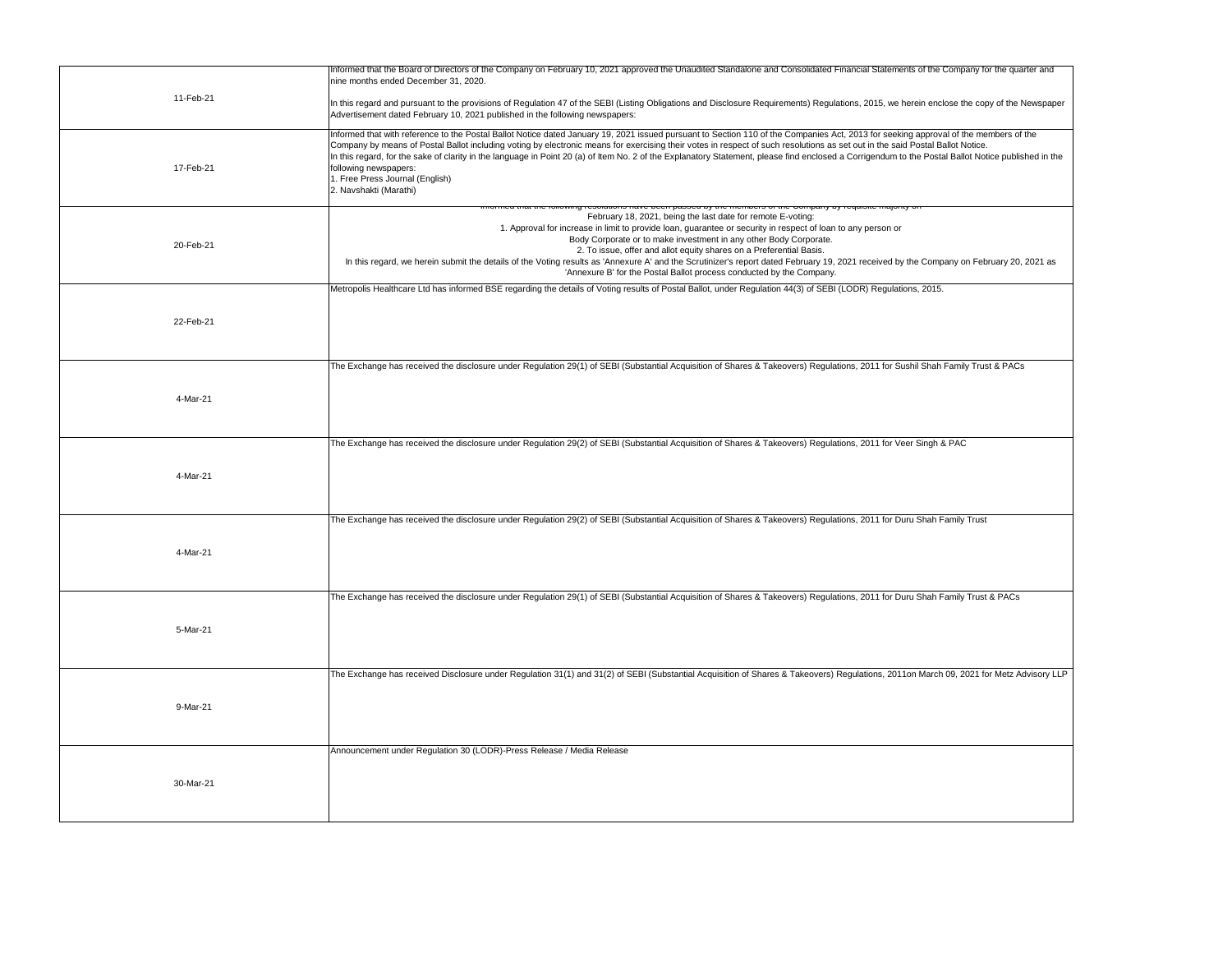| 11-Feb-21 | Informed that the Board of Directors of the Company on February 10, 2021 approved the Unaudited Standalone and Consolidated Financial Statements of the Company for the quarter and<br>nine months ended December 31, 2020.                                                                                                                                                                                                                                                                                                                                                                                                                                        |
|-----------|--------------------------------------------------------------------------------------------------------------------------------------------------------------------------------------------------------------------------------------------------------------------------------------------------------------------------------------------------------------------------------------------------------------------------------------------------------------------------------------------------------------------------------------------------------------------------------------------------------------------------------------------------------------------|
|           | In this regard and pursuant to the provisions of Regulation 47 of the SEBI (Listing Obligations and Disclosure Requirements) Regulations, 2015, we herein enclose the copy of the Newspaper<br>Advertisement dated February 10, 2021 published in the following newspapers:                                                                                                                                                                                                                                                                                                                                                                                        |
| 17-Feb-21 | Informed that with reference to the Postal Ballot Notice dated January 19, 2021 issued pursuant to Section 110 of the Companies Act, 2013 for seeking approval of the members of the<br>Company by means of Postal Ballot including voting by electronic means for exercising their votes in respect of such resolutions as set out in the said Postal Ballot Notice.<br>In this regard, for the sake of clarity in the language in Point 20 (a) of Item No. 2 of the Explanatory Statement, please find enclosed a Corrigendum to the Postal Ballot Notice published in the<br>following newspapers:<br>1. Free Press Journal (English)<br>2. Navshakti (Marathi) |
| 20-Feb-21 | momboro or are oompany by requione<br>February 18, 2021, being the last date for remote E-voting:<br>1. Approval for increase in limit to provide loan, guarantee or security in respect of loan to any person or<br>Body Corporate or to make investment in any other Body Corporate.<br>2. To issue, offer and allot equity shares on a Preferential Basis.<br>In this regard, we herein submit the details of the Voting results as 'Annexure A' and the Scrutinizer's report dated February 19, 2021 received by the Company on February 20, 2021 as<br>'Annexure B' for the Postal Ballot process conducted by the Company.                                   |
|           | Metropolis Healthcare Ltd has informed BSE regarding the details of Voting results of Postal Ballot, under Regulation 44(3) of SEBI (LODR) Regulations, 2015.                                                                                                                                                                                                                                                                                                                                                                                                                                                                                                      |
| 22-Feb-21 |                                                                                                                                                                                                                                                                                                                                                                                                                                                                                                                                                                                                                                                                    |
|           | The Exchange has received the disclosure under Regulation 29(1) of SEBI (Substantial Acquisition of Shares & Takeovers) Regulations, 2011 for Sushil Shah Family Trust & PACs                                                                                                                                                                                                                                                                                                                                                                                                                                                                                      |
| 4-Mar-21  |                                                                                                                                                                                                                                                                                                                                                                                                                                                                                                                                                                                                                                                                    |
|           | The Exchange has received the disclosure under Regulation 29(2) of SEBI (Substantial Acquisition of Shares & Takeovers) Regulations, 2011 for Veer Singh & PAC                                                                                                                                                                                                                                                                                                                                                                                                                                                                                                     |
| 4-Mar-21  |                                                                                                                                                                                                                                                                                                                                                                                                                                                                                                                                                                                                                                                                    |
|           | The Exchange has received the disclosure under Regulation 29(2) of SEBI (Substantial Acquisition of Shares & Takeovers) Regulations, 2011 for Duru Shah Family Trust                                                                                                                                                                                                                                                                                                                                                                                                                                                                                               |
| 4-Mar-21  |                                                                                                                                                                                                                                                                                                                                                                                                                                                                                                                                                                                                                                                                    |
|           | The Exchange has received the disclosure under Regulation 29(1) of SEBI (Substantial Acquisition of Shares & Takeovers) Regulations, 2011 for Duru Shah Family Trust & PACs                                                                                                                                                                                                                                                                                                                                                                                                                                                                                        |
| 5-Mar-21  |                                                                                                                                                                                                                                                                                                                                                                                                                                                                                                                                                                                                                                                                    |
|           | The Exchange has received Disclosure under Regulation 31(1) and 31(2) of SEBI (Substantial Acquisition of Shares & Takeovers) Regulations, 2011on March 09, 2021 for Metz Advisory LLP                                                                                                                                                                                                                                                                                                                                                                                                                                                                             |
| 9-Mar-21  |                                                                                                                                                                                                                                                                                                                                                                                                                                                                                                                                                                                                                                                                    |
|           | Announcement under Regulation 30 (LODR)-Press Release / Media Release                                                                                                                                                                                                                                                                                                                                                                                                                                                                                                                                                                                              |
| 30-Mar-21 |                                                                                                                                                                                                                                                                                                                                                                                                                                                                                                                                                                                                                                                                    |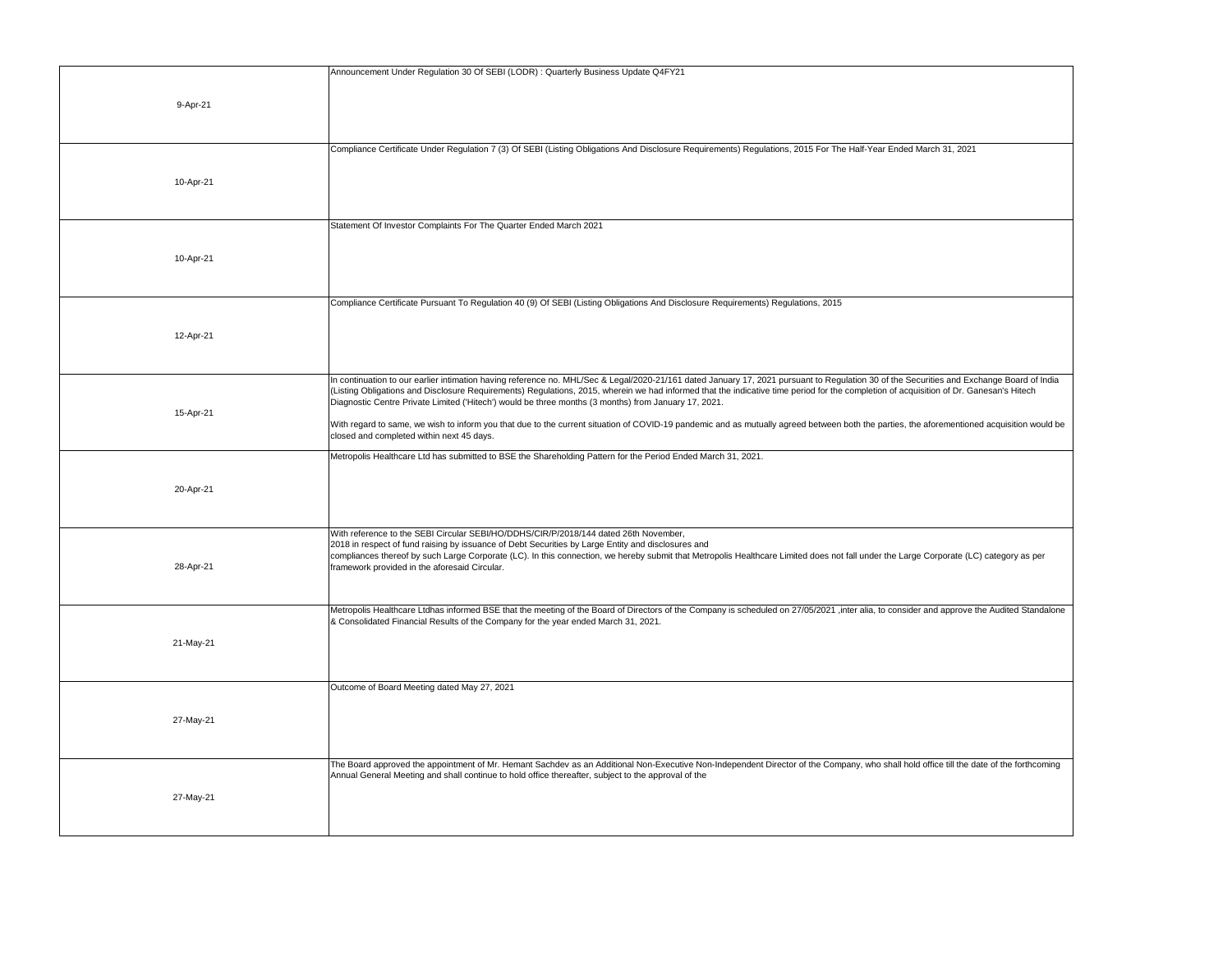|           | Announcement Under Regulation 30 Of SEBI (LODR) : Quarterly Business Update Q4FY21                                                                                                                                                                                                           |
|-----------|----------------------------------------------------------------------------------------------------------------------------------------------------------------------------------------------------------------------------------------------------------------------------------------------|
|           |                                                                                                                                                                                                                                                                                              |
| 9-Apr-21  |                                                                                                                                                                                                                                                                                              |
|           |                                                                                                                                                                                                                                                                                              |
|           |                                                                                                                                                                                                                                                                                              |
|           | Compliance Certificate Under Regulation 7 (3) Of SEBI (Listing Obligations And Disclosure Requirements) Regulations, 2015 For The Half-Year Ended March 31, 2021                                                                                                                             |
|           |                                                                                                                                                                                                                                                                                              |
| 10-Apr-21 |                                                                                                                                                                                                                                                                                              |
|           |                                                                                                                                                                                                                                                                                              |
|           |                                                                                                                                                                                                                                                                                              |
|           | Statement Of Investor Complaints For The Quarter Ended March 2021                                                                                                                                                                                                                            |
|           |                                                                                                                                                                                                                                                                                              |
| 10-Apr-21 |                                                                                                                                                                                                                                                                                              |
|           |                                                                                                                                                                                                                                                                                              |
|           |                                                                                                                                                                                                                                                                                              |
|           | Compliance Certificate Pursuant To Regulation 40 (9) Of SEBI (Listing Obligations And Disclosure Requirements) Regulations, 2015                                                                                                                                                             |
|           |                                                                                                                                                                                                                                                                                              |
| 12-Apr-21 |                                                                                                                                                                                                                                                                                              |
|           |                                                                                                                                                                                                                                                                                              |
|           | In continuation to our earlier intimation having reference no. MHL/Sec & Legal/2020-21/161 dated January 17, 2021 pursuant to Regulation 30 of the Securities and Exchange Board of India                                                                                                    |
|           | (Listing Obligations and Disclosure Requirements) Regulations, 2015, wherein we had informed that the indicative time period for the completion of acquisition of Dr. Ganesan's Hitech                                                                                                       |
| 15-Apr-21 | Diagnostic Centre Private Limited ('Hitech') would be three months (3 months) from January 17, 2021.                                                                                                                                                                                         |
|           | With regard to same, we wish to inform you that due to the current situation of COVID-19 pandemic and as mutually agreed between both the parties, the aforementioned acquisition would be                                                                                                   |
|           | closed and completed within next 45 days.                                                                                                                                                                                                                                                    |
|           | Metropolis Healthcare Ltd has submitted to BSE the Shareholding Pattern for the Period Ended March 31, 2021.                                                                                                                                                                                 |
|           |                                                                                                                                                                                                                                                                                              |
| 20-Apr-21 |                                                                                                                                                                                                                                                                                              |
|           |                                                                                                                                                                                                                                                                                              |
|           |                                                                                                                                                                                                                                                                                              |
|           | With reference to the SEBI Circular SEBI/HO/DDHS/CIR/P/2018/144 dated 26th November,                                                                                                                                                                                                         |
|           | 2018 in respect of fund raising by issuance of Debt Securities by Large Entity and disclosures and<br>compliances thereof by such Large Corporate (LC). In this connection, we hereby submit that Metropolis Healthcare Limited does not fall under the Large Corporate (LC) category as per |
| 28-Apr-21 | framework provided in the aforesaid Circular.                                                                                                                                                                                                                                                |
|           |                                                                                                                                                                                                                                                                                              |
|           |                                                                                                                                                                                                                                                                                              |
|           | Metropolis Healthcare Ltdhas informed BSE that the meeting of the Board of Directors of the Company is scheduled on 27/05/2021 ,inter alia, to consider and approve the Audited Standalone<br>& Consolidated Financial Results of the Company for the year ended March 31, 2021.             |
|           |                                                                                                                                                                                                                                                                                              |
| 21-May-21 |                                                                                                                                                                                                                                                                                              |
|           |                                                                                                                                                                                                                                                                                              |
|           | Outcome of Board Meeting dated May 27, 2021                                                                                                                                                                                                                                                  |
|           |                                                                                                                                                                                                                                                                                              |
| 27-May-21 |                                                                                                                                                                                                                                                                                              |
|           |                                                                                                                                                                                                                                                                                              |
|           |                                                                                                                                                                                                                                                                                              |
|           | The Board approved the appointment of Mr. Hemant Sachdev as an Additional Non-Executive Non-Independent Director of the Company, who shall hold office till the date of the forthcoming                                                                                                      |
|           | Annual General Meeting and shall continue to hold office thereafter, subject to the approval of the                                                                                                                                                                                          |
| 27-May-21 |                                                                                                                                                                                                                                                                                              |
|           |                                                                                                                                                                                                                                                                                              |
|           |                                                                                                                                                                                                                                                                                              |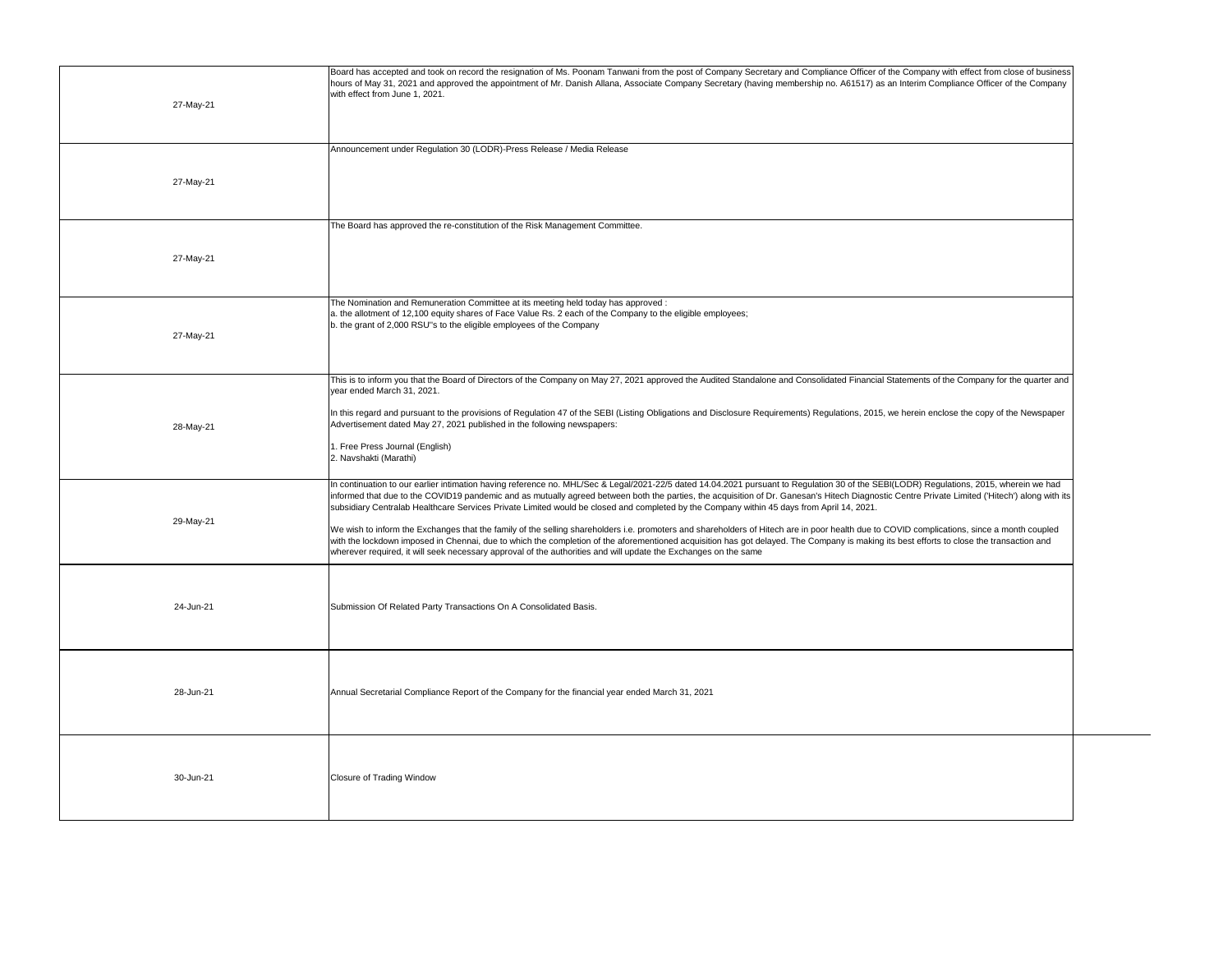| 27-May-21 | Board has accepted and took on record the resignation of Ms. Poonam Tanwani from the post of Company Secretary and Compliance Officer of the Company with effect from close of business<br>hours of May 31, 2021 and approved the appointment of Mr. Danish Allana, Associate Company Secretary (having membership no. A61517) as an Interim Compliance Officer of the Company<br>with effect from June 1, 2021.                                                                                                                                                                                                                                                                                                                                                                                                                                                                                                                                                                                                                                    |
|-----------|-----------------------------------------------------------------------------------------------------------------------------------------------------------------------------------------------------------------------------------------------------------------------------------------------------------------------------------------------------------------------------------------------------------------------------------------------------------------------------------------------------------------------------------------------------------------------------------------------------------------------------------------------------------------------------------------------------------------------------------------------------------------------------------------------------------------------------------------------------------------------------------------------------------------------------------------------------------------------------------------------------------------------------------------------------|
| 27-May-21 | Announcement under Regulation 30 (LODR)-Press Release / Media Release                                                                                                                                                                                                                                                                                                                                                                                                                                                                                                                                                                                                                                                                                                                                                                                                                                                                                                                                                                               |
| 27-May-21 | The Board has approved the re-constitution of the Risk Management Committee.                                                                                                                                                                                                                                                                                                                                                                                                                                                                                                                                                                                                                                                                                                                                                                                                                                                                                                                                                                        |
| 27-May-21 | The Nomination and Remuneration Committee at its meeting held today has approved :<br>a. the allotment of 12,100 equity shares of Face Value Rs. 2 each of the Company to the eligible employees;<br>b. the grant of 2,000 RSU"s to the eligible employees of the Company                                                                                                                                                                                                                                                                                                                                                                                                                                                                                                                                                                                                                                                                                                                                                                           |
| 28-May-21 | This is to inform you that the Board of Directors of the Company on May 27, 2021 approved the Audited Standalone and Consolidated Financial Statements of the Company for the quarter and<br>year ended March 31, 2021.<br>In this regard and pursuant to the provisions of Regulation 47 of the SEBI (Listing Obligations and Disclosure Requirements) Regulations, 2015, we herein enclose the copy of the Newspaper<br>Advertisement dated May 27, 2021 published in the following newspapers:<br>I. Free Press Journal (English)<br>2. Navshakti (Marathi)                                                                                                                                                                                                                                                                                                                                                                                                                                                                                      |
| 29-May-21 | In continuation to our earlier intimation having reference no. MHL/Sec & Legal/2021-22/5 dated 14.04.2021 pursuant to Regulation 30 of the SEBI(LODR) Regulations, 2015, wherein we had<br>informed that due to the COVID19 pandemic and as mutually agreed between both the parties, the acquisition of Dr. Ganesan's Hitech Diagnostic Centre Private Limited ('Hitech') along with its<br>subsidiary Centralab Healthcare Services Private Limited would be closed and completed by the Company within 45 days from April 14, 2021.<br>We wish to inform the Exchanges that the family of the selling shareholders i.e. promoters and shareholders of Hitech are in poor health due to COVID complications, since a month coupled<br>with the lockdown imposed in Chennai, due to which the completion of the aforementioned acquisition has got delayed. The Company is making its best efforts to close the transaction and<br>wherever required, it will seek necessary approval of the authorities and will update the Exchanges on the same |
| 24-Jun-21 | Submission Of Related Party Transactions On A Consolidated Basis.                                                                                                                                                                                                                                                                                                                                                                                                                                                                                                                                                                                                                                                                                                                                                                                                                                                                                                                                                                                   |
| 28-Jun-21 | Annual Secretarial Compliance Report of the Company for the financial year ended March 31, 2021                                                                                                                                                                                                                                                                                                                                                                                                                                                                                                                                                                                                                                                                                                                                                                                                                                                                                                                                                     |
| 30-Jun-21 | <b>Closure of Trading Window</b>                                                                                                                                                                                                                                                                                                                                                                                                                                                                                                                                                                                                                                                                                                                                                                                                                                                                                                                                                                                                                    |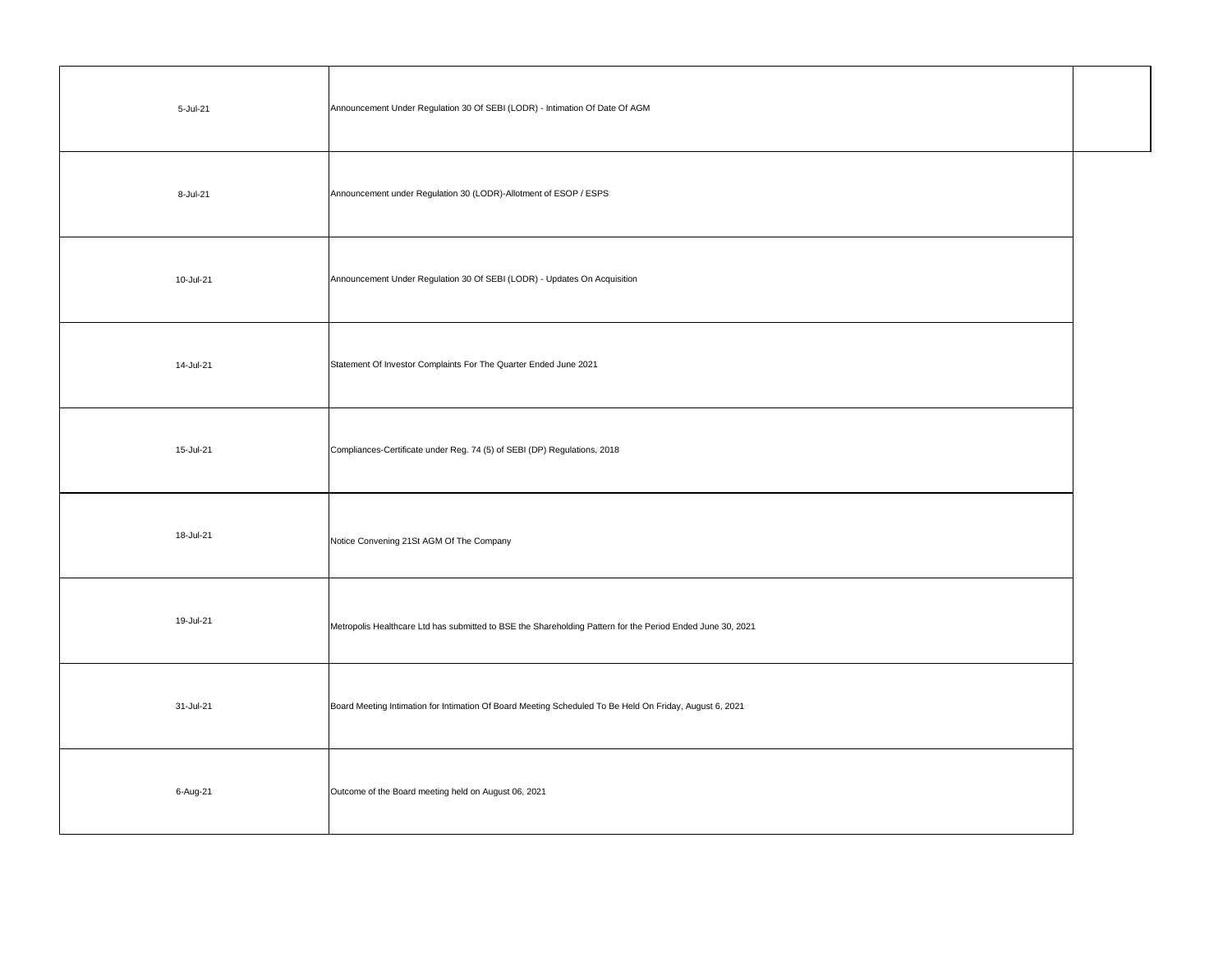| 5-Jul-21  | Announcement Under Regulation 30 Of SEBI (LODR) - Intimation Of Date Of AGM                                |  |
|-----------|------------------------------------------------------------------------------------------------------------|--|
| 8-Jul-21  | Announcement under Regulation 30 (LODR)-Allotment of ESOP / ESPS                                           |  |
| 10-Jul-21 | Announcement Under Regulation 30 Of SEBI (LODR) - Updates On Acquisition                                   |  |
| 14-Jul-21 | Statement Of Investor Complaints For The Quarter Ended June 2021                                           |  |
| 15-Jul-21 | Compliances-Certificate under Reg. 74 (5) of SEBI (DP) Regulations, 2018                                   |  |
| 18-Jul-21 | Notice Convening 21St AGM Of The Company                                                                   |  |
| 19-Jul-21 | Metropolis Healthcare Ltd has submitted to BSE the Shareholding Pattern for the Period Ended June 30, 2021 |  |
| 31-Jul-21 | Board Meeting Intimation for Intimation Of Board Meeting Scheduled To Be Held On Friday, August 6, 2021    |  |
| 6-Aug-21  | Outcome of the Board meeting held on August 06, 2021                                                       |  |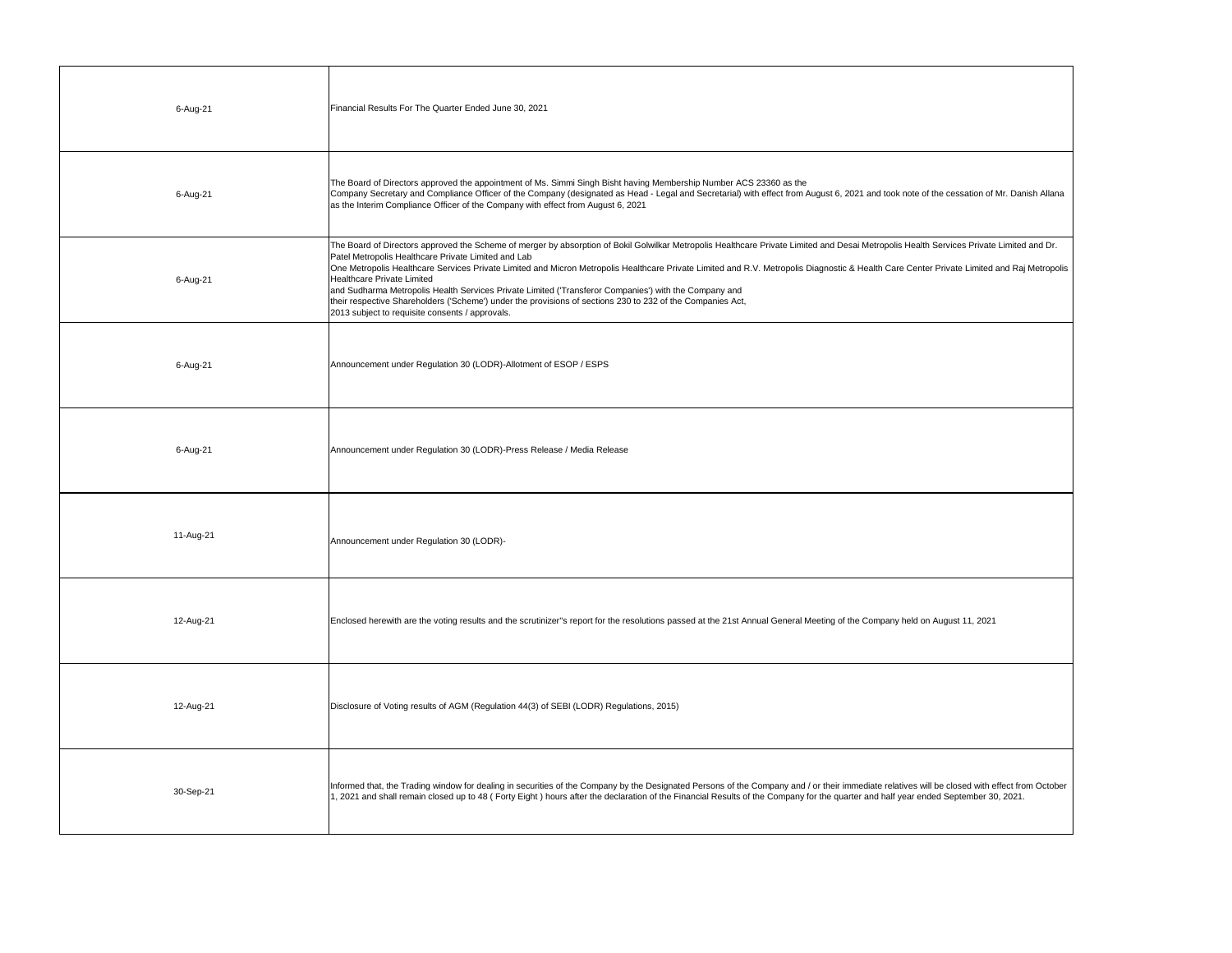| 6-Aug-21  | Financial Results For The Quarter Ended June 30, 2021                                                                                                                                                                                                                                                                                                                                                                                                                                                                                                                                                                                                                                                                                                 |
|-----------|-------------------------------------------------------------------------------------------------------------------------------------------------------------------------------------------------------------------------------------------------------------------------------------------------------------------------------------------------------------------------------------------------------------------------------------------------------------------------------------------------------------------------------------------------------------------------------------------------------------------------------------------------------------------------------------------------------------------------------------------------------|
| 6-Aug-21  | The Board of Directors approved the appointment of Ms. Simmi Singh Bisht having Membership Number ACS 23360 as the<br>Company Secretary and Compliance Officer of the Company (designated as Head - Legal and Secretarial) with effect from August 6, 2021 and took note of the cessation of Mr. Danish Allana<br>as the Interim Compliance Officer of the Company with effect from August 6, 2021                                                                                                                                                                                                                                                                                                                                                    |
| 6-Aug-21  | The Board of Directors approved the Scheme of merger by absorption of Bokil Golwilkar Metropolis Healthcare Private Limited and Desai Metropolis Health Services Private Limited and Dr.<br>Patel Metropolis Healthcare Private Limited and Lab<br>One Metropolis Healthcare Services Private Limited and Micron Metropolis Healthcare Private Limited and R.V. Metropolis Diagnostic & Health Care Center Private Limited and Raj Metropolis<br>Healthcare Private Limited<br>and Sudharma Metropolis Health Services Private Limited ('Transferor Companies') with the Company and<br>their respective Shareholders ('Scheme') under the provisions of sections 230 to 232 of the Companies Act,<br>2013 subject to requisite consents / approvals. |
| 6-Aug-21  | Announcement under Regulation 30 (LODR)-Allotment of ESOP / ESPS                                                                                                                                                                                                                                                                                                                                                                                                                                                                                                                                                                                                                                                                                      |
| 6-Aug-21  | Announcement under Regulation 30 (LODR)-Press Release / Media Release                                                                                                                                                                                                                                                                                                                                                                                                                                                                                                                                                                                                                                                                                 |
| 11-Aug-21 | Announcement under Regulation 30 (LODR)-                                                                                                                                                                                                                                                                                                                                                                                                                                                                                                                                                                                                                                                                                                              |
| 12-Aug-21 | Enclosed herewith are the voting results and the scrutinizer"s report for the resolutions passed at the 21st Annual General Meeting of the Company held on August 11, 2021                                                                                                                                                                                                                                                                                                                                                                                                                                                                                                                                                                            |
| 12-Aug-21 | Disclosure of Voting results of AGM (Regulation 44(3) of SEBI (LODR) Regulations, 2015)                                                                                                                                                                                                                                                                                                                                                                                                                                                                                                                                                                                                                                                               |
| 30-Sep-21 | Informed that, the Trading window for dealing in securities of the Company by the Designated Persons of the Company and / or their immediate relatives will be closed with effect from October<br>1, 2021 and shall remain closed up to 48 (Forty Eight) hours after the declaration of the Financial Results of the Company for the quarter and half year ended September 30, 2021.                                                                                                                                                                                                                                                                                                                                                                  |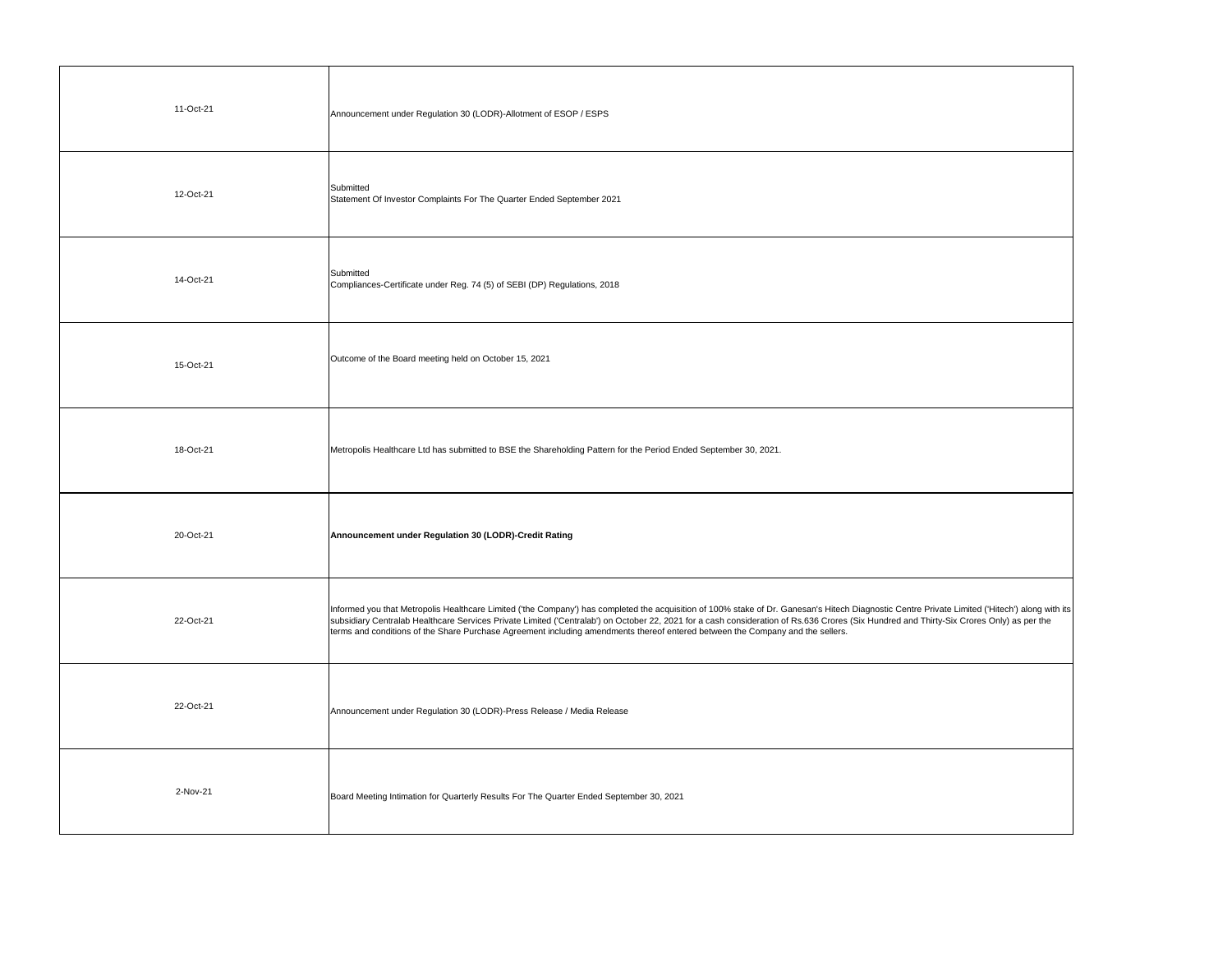| 11-Oct-21 | Announcement under Regulation 30 (LODR)-Allotment of ESOP / ESPS                                                                                                                                                                                                                                                                                                                                                                                                                                                              |
|-----------|-------------------------------------------------------------------------------------------------------------------------------------------------------------------------------------------------------------------------------------------------------------------------------------------------------------------------------------------------------------------------------------------------------------------------------------------------------------------------------------------------------------------------------|
| 12-Oct-21 | Submitted<br>Statement Of Investor Complaints For The Quarter Ended September 2021                                                                                                                                                                                                                                                                                                                                                                                                                                            |
| 14-Oct-21 | Submitted<br>Compliances-Certificate under Reg. 74 (5) of SEBI (DP) Regulations, 2018                                                                                                                                                                                                                                                                                                                                                                                                                                         |
| 15-Oct-21 | Outcome of the Board meeting held on October 15, 2021                                                                                                                                                                                                                                                                                                                                                                                                                                                                         |
| 18-Oct-21 | Metropolis Healthcare Ltd has submitted to BSE the Shareholding Pattern for the Period Ended September 30, 2021.                                                                                                                                                                                                                                                                                                                                                                                                              |
| 20-Oct-21 | Announcement under Regulation 30 (LODR)-Credit Rating                                                                                                                                                                                                                                                                                                                                                                                                                                                                         |
| 22-Oct-21 | Informed you that Metropolis Healthcare Limited ('the Company') has completed the acquisition of 100% stake of Dr. Ganesan's Hitech Diagnostic Centre Private Limited ('Hitech') along with its<br>subsidiary Centralab Healthcare Services Private Limited ('Centralab') on October 22, 2021 for a cash consideration of Rs.636 Crores (Six Hundred and Thirty-Six Crores Only) as per the<br>terms and conditions of the Share Purchase Agreement including amendments thereof entered between the Company and the sellers. |
| 22-Oct-21 | Announcement under Regulation 30 (LODR)-Press Release / Media Release                                                                                                                                                                                                                                                                                                                                                                                                                                                         |
| 2-Nov-21  | Board Meeting Intimation for Quarterly Results For The Quarter Ended September 30, 2021                                                                                                                                                                                                                                                                                                                                                                                                                                       |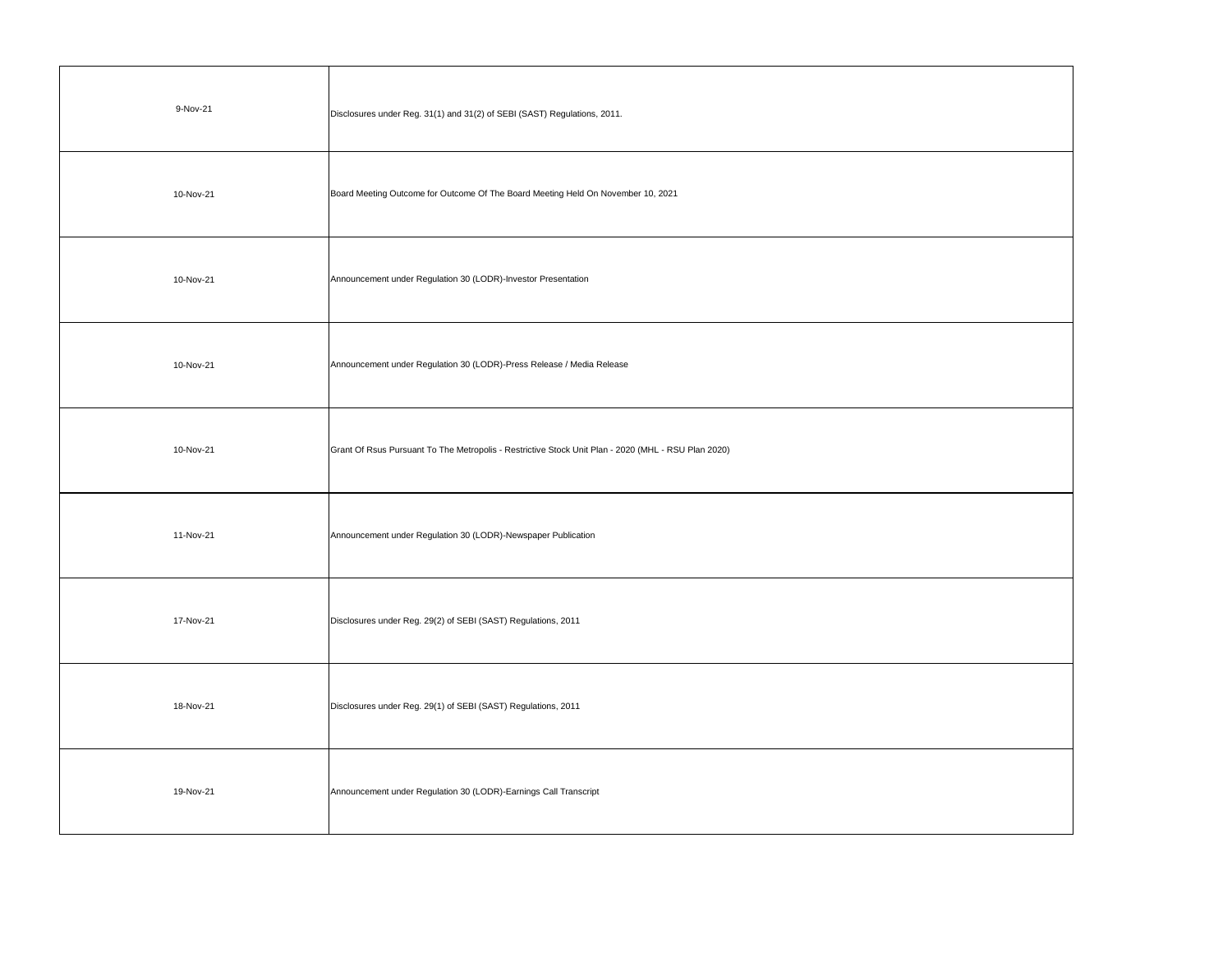| 9-Nov-21  | Disclosures under Reg. 31(1) and 31(2) of SEBI (SAST) Regulations, 2011.                            |
|-----------|-----------------------------------------------------------------------------------------------------|
| 10-Nov-21 | Board Meeting Outcome for Outcome Of The Board Meeting Held On November 10, 2021                    |
| 10-Nov-21 | Announcement under Regulation 30 (LODR)-Investor Presentation                                       |
| 10-Nov-21 | Announcement under Regulation 30 (LODR)-Press Release / Media Release                               |
| 10-Nov-21 | Grant Of Rsus Pursuant To The Metropolis - Restrictive Stock Unit Plan - 2020 (MHL - RSU Plan 2020) |
| 11-Nov-21 | Announcement under Regulation 30 (LODR)-Newspaper Publication                                       |
| 17-Nov-21 | Disclosures under Reg. 29(2) of SEBI (SAST) Regulations, 2011                                       |
| 18-Nov-21 | Disclosures under Reg. 29(1) of SEBI (SAST) Regulations, 2011                                       |
| 19-Nov-21 | Announcement under Regulation 30 (LODR)-Earnings Call Transcript                                    |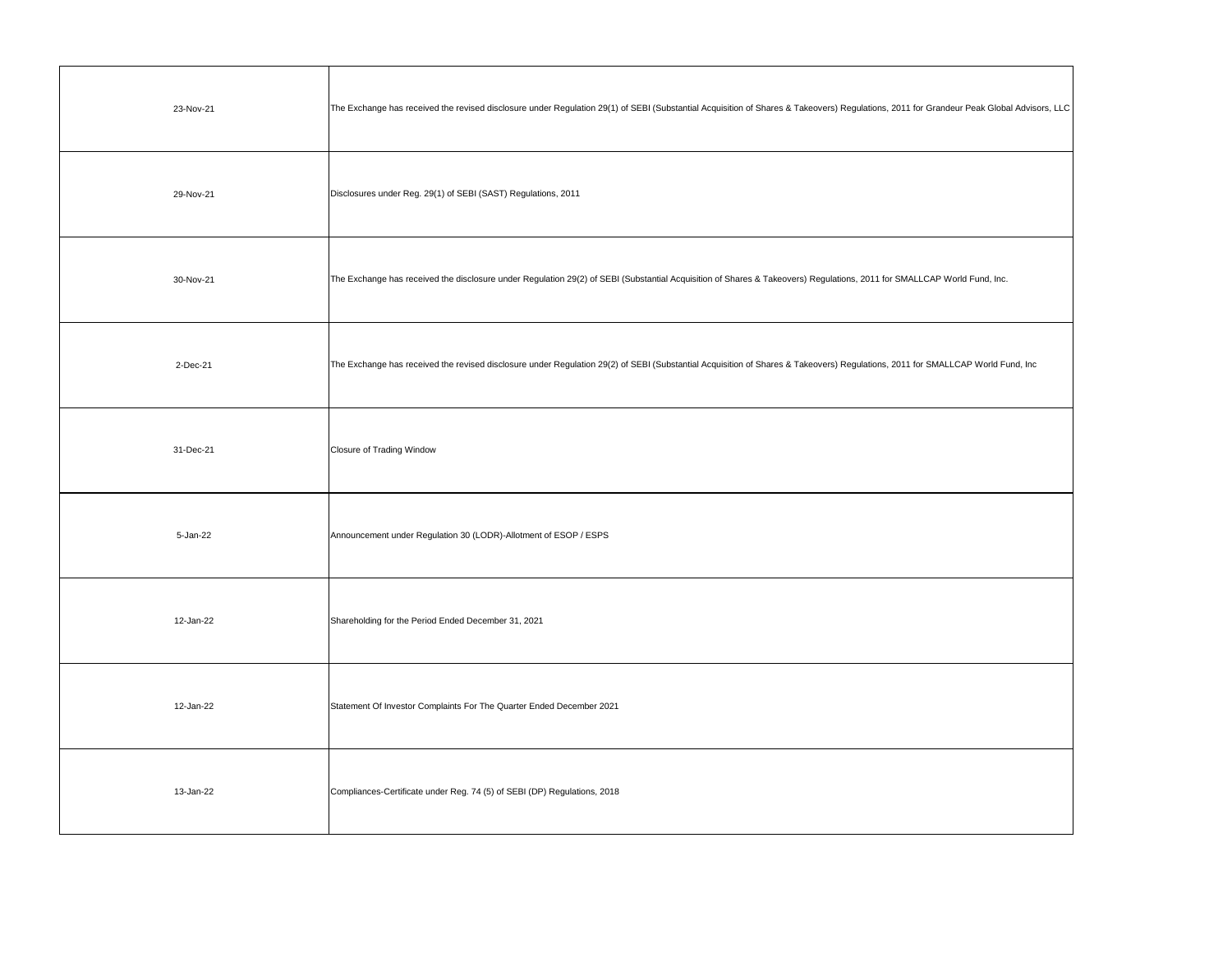| 23-Nov-21 | The Exchange has received the revised disclosure under Regulation 29(1) of SEBI (Substantial Acquisition of Shares & Takeovers) Regulations, 2011 for Grandeur Peak Global Advisors, LLC |
|-----------|------------------------------------------------------------------------------------------------------------------------------------------------------------------------------------------|
| 29-Nov-21 | Disclosures under Reg. 29(1) of SEBI (SAST) Regulations, 2011                                                                                                                            |
| 30-Nov-21 | The Exchange has received the disclosure under Regulation 29(2) of SEBI (Substantial Acquisition of Shares & Takeovers) Regulations, 2011 for SMALLCAP World Fund, Inc.                  |
| 2-Dec-21  | The Exchange has received the revised disclosure under Regulation 29(2) of SEBI (Substantial Acquisition of Shares & Takeovers) Regulations, 2011 for SMALLCAP World Fund, Inc           |
| 31-Dec-21 | <b>Closure of Trading Window</b>                                                                                                                                                         |
| 5-Jan-22  | Announcement under Regulation 30 (LODR)-Allotment of ESOP / ESPS                                                                                                                         |
| 12-Jan-22 | Shareholding for the Period Ended December 31, 2021                                                                                                                                      |
| 12-Jan-22 | Statement Of Investor Complaints For The Quarter Ended December 2021                                                                                                                     |
| 13-Jan-22 | Compliances-Certificate under Reg. 74 (5) of SEBI (DP) Regulations, 2018                                                                                                                 |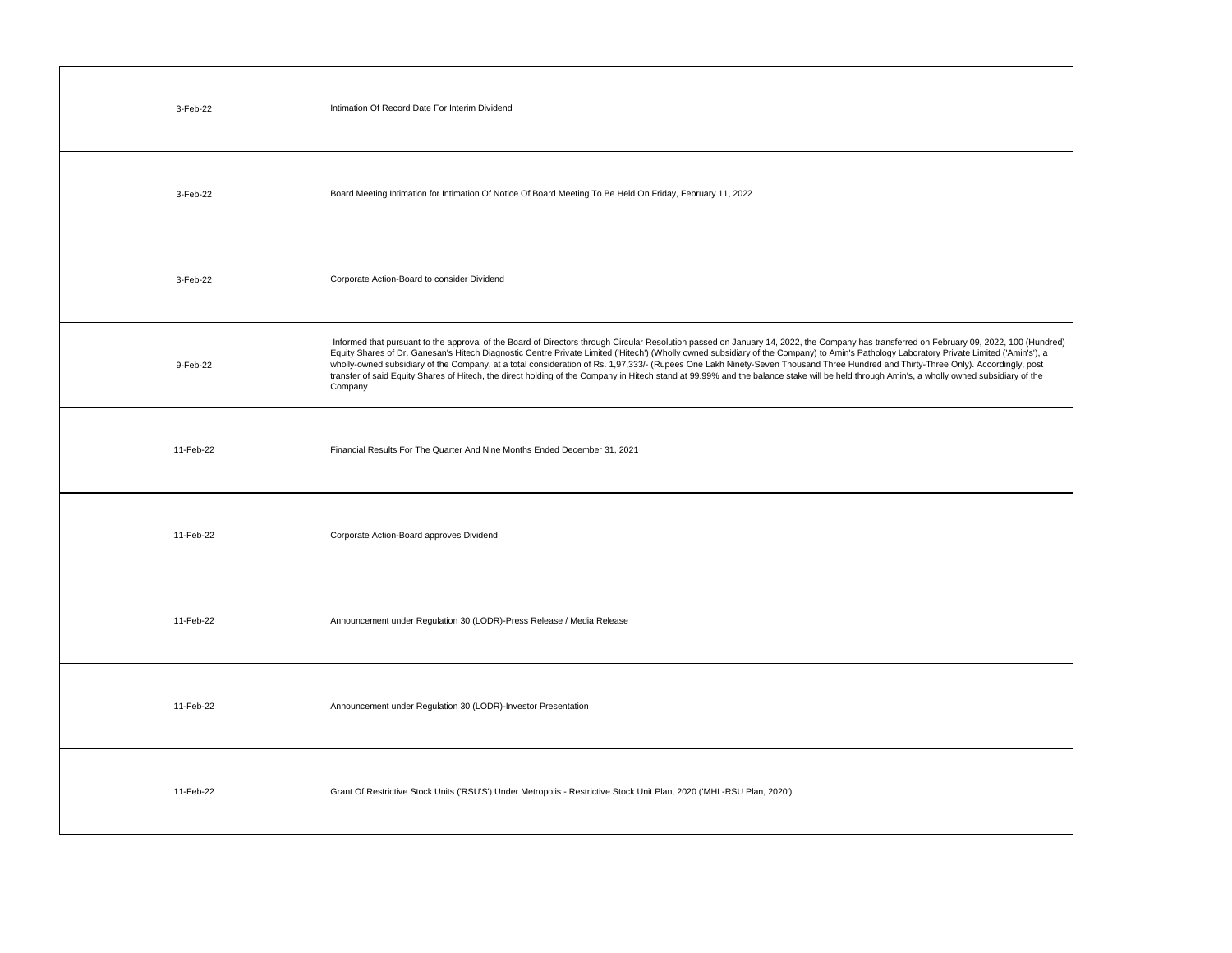| 3-Feb-22  | Intimation Of Record Date For Interim Dividend                                                                                                                                                                                                                                                                                                                                                                                                                                                                                                                                                                                                                                                                                                                                    |
|-----------|-----------------------------------------------------------------------------------------------------------------------------------------------------------------------------------------------------------------------------------------------------------------------------------------------------------------------------------------------------------------------------------------------------------------------------------------------------------------------------------------------------------------------------------------------------------------------------------------------------------------------------------------------------------------------------------------------------------------------------------------------------------------------------------|
| 3-Feb-22  | Board Meeting Intimation for Intimation Of Notice Of Board Meeting To Be Held On Friday, February 11, 2022                                                                                                                                                                                                                                                                                                                                                                                                                                                                                                                                                                                                                                                                        |
| 3-Feb-22  | Corporate Action-Board to consider Dividend                                                                                                                                                                                                                                                                                                                                                                                                                                                                                                                                                                                                                                                                                                                                       |
| 9-Feb-22  | Informed that pursuant to the approval of the Board of Directors through Circular Resolution passed on January 14, 2022, the Company has transferred on February 09, 2022, 100 (Hundred)<br>Equity Shares of Dr. Ganesan's Hitech Diagnostic Centre Private Limited ('Hitech') (Wholly owned subsidiary of the Company) to Amin's Pathology Laboratory Private Limited ('Amin's'), a<br>wholly-owned subsidiary of the Company, at a total consideration of Rs. 1,97,333/- (Rupees One Lakh Ninety-Seven Thousand Three Hundred and Thirty-Three Only). Accordingly, post<br>transfer of said Equity Shares of Hitech, the direct holding of the Company in Hitech stand at 99.99% and the balance stake will be held through Amin's, a wholly owned subsidiary of the<br>Company |
| 11-Feb-22 | Financial Results For The Quarter And Nine Months Ended December 31, 2021                                                                                                                                                                                                                                                                                                                                                                                                                                                                                                                                                                                                                                                                                                         |
| 11-Feb-22 | Corporate Action-Board approves Dividend                                                                                                                                                                                                                                                                                                                                                                                                                                                                                                                                                                                                                                                                                                                                          |
| 11-Feb-22 | Announcement under Regulation 30 (LODR)-Press Release / Media Release                                                                                                                                                                                                                                                                                                                                                                                                                                                                                                                                                                                                                                                                                                             |
| 11-Feb-22 | Announcement under Regulation 30 (LODR)-Investor Presentation                                                                                                                                                                                                                                                                                                                                                                                                                                                                                                                                                                                                                                                                                                                     |
| 11-Feb-22 | Grant Of Restrictive Stock Units ('RSU'S') Under Metropolis - Restrictive Stock Unit Plan, 2020 ('MHL-RSU Plan, 2020')                                                                                                                                                                                                                                                                                                                                                                                                                                                                                                                                                                                                                                                            |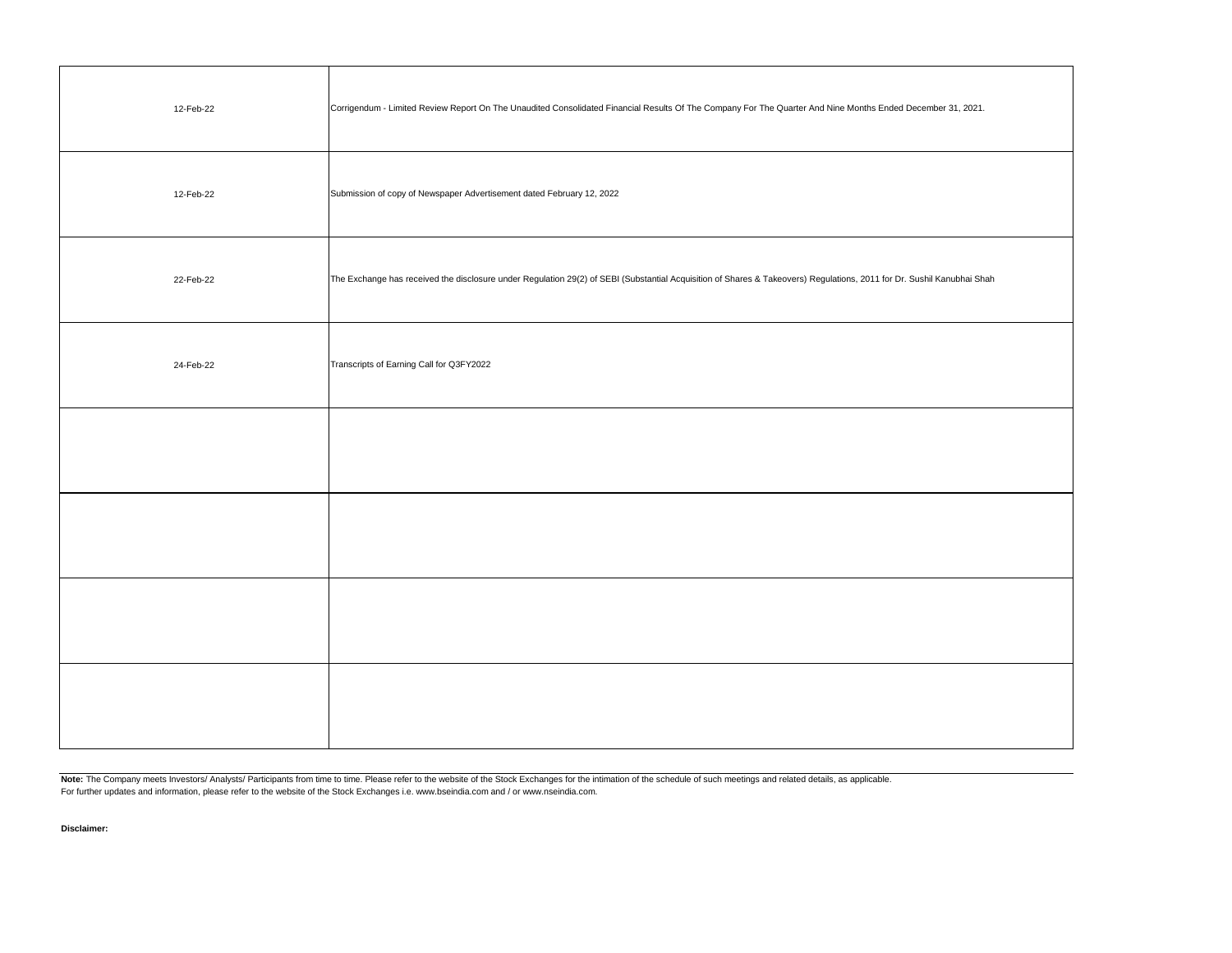| 12-Feb-22 | Corrigendum - Limited Review Report On The Unaudited Consolidated Financial Results Of The Company For The Quarter And Nine Months Ended December 31, 2021.            |
|-----------|------------------------------------------------------------------------------------------------------------------------------------------------------------------------|
| 12-Feb-22 | Submission of copy of Newspaper Advertisement dated February 12, 2022                                                                                                  |
| 22-Feb-22 | The Exchange has received the disclosure under Regulation 29(2) of SEBI (Substantial Acquisition of Shares & Takeovers) Regulations, 2011 for Dr. Sushil Kanubhai Shah |
| 24-Feb-22 | Transcripts of Earning Call for Q3FY2022                                                                                                                               |
|           |                                                                                                                                                                        |
|           |                                                                                                                                                                        |
|           |                                                                                                                                                                        |
|           |                                                                                                                                                                        |

Note: The Company meets Investors/ Analysts/ Participants from time to time. Please refer to the website of the Stock Exchanges for the intimation of the schedule of such meetings and related details, as applicable. For further updates and information, please refer to the website of the Stock Exchanges i.e. www.bseindia.com and / or www.nseindia.com.

**Disclaimer:**